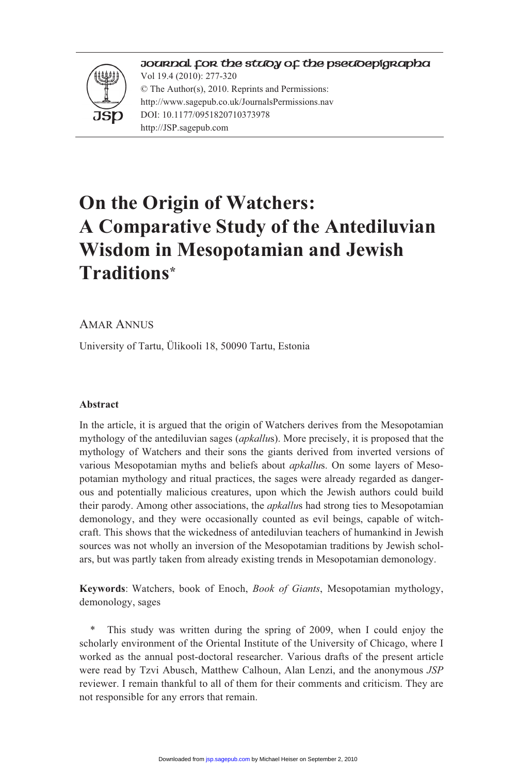#### Journal for the study of the Pseudepigrapha



Vol 19.4 (2010): 277-320 © The Author(s), 2010. Reprints and Permissions: http://www.sagepub.co.uk/JournalsPermissions.nav DOI: 10.1177/0951820710373978 http://JSP.sagepub.com

# **On the Origin of Watchers: A Comparative Study of the Antediluvian Wisdom in Mesopotamian and Jewish Traditions\***

#### AMAR ANNUS

University of Tartu, Ülikooli 18, 50090 Tartu, Estonia

#### **Abstract**

In the article, it is argued that the origin of Watchers derives from the Mesopotamian mythology of the antediluvian sages (*apkallu*s). More precisely, it is proposed that the mythology of Watchers and their sons the giants derived from inverted versions of various Mesopotamian myths and beliefs about *apkallu*s. On some layers of Mesopotamian mythology and ritual practices, the sages were already regarded as dangerous and potentially malicious creatures, upon which the Jewish authors could build their parody. Among other associations, the *apkallu*s had strong ties to Mesopotamian demonology, and they were occasionally counted as evil beings, capable of witchcraft. This shows that the wickedness of antediluvian teachers of humankind in Jewish sources was not wholly an inversion of the Mesopotamian traditions by Jewish scholars, but was partly taken from already existing trends in Mesopotamian demonology.

**Keywords**: Watchers, book of Enoch, *Book of Giants*, Mesopotamian mythology, demonology, sages

This study was written during the spring of 2009, when I could enjoy the scholarly environment of the Oriental Institute of the University of Chicago, where I worked as the annual post-doctoral researcher. Various drafts of the present article were read by Tzvi Abusch, Matthew Calhoun, Alan Lenzi, and the anonymous *JSP* reviewer. I remain thankful to all of them for their comments and criticism. They are not responsible for any errors that remain.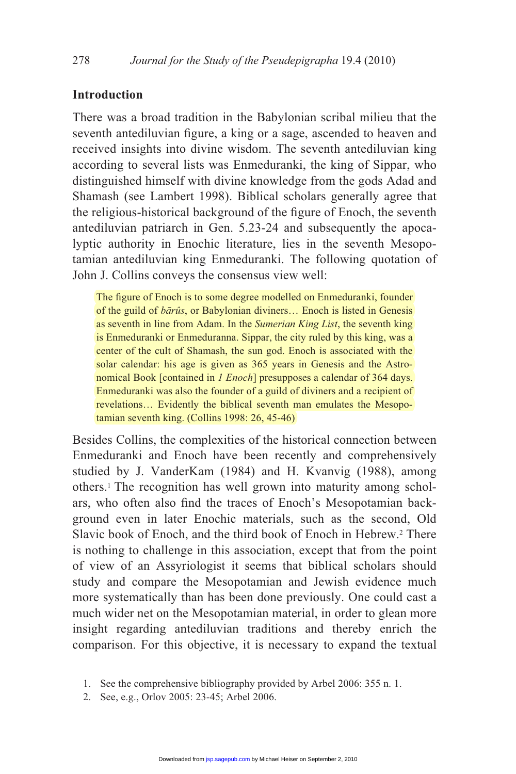# **Introduction**

There was a broad tradition in the Babylonian scribal milieu that the seventh antediluvian figure, a king or a sage, ascended to heaven and received insights into divine wisdom. The seventh antediluvian king according to several lists was Enmeduranki, the king of Sippar, who distinguished himself with divine knowledge from the gods Adad and Shamash (see Lambert 1998). Biblical scholars generally agree that the religious-historical background of the figure of Enoch, the seventh antediluvian patriarch in Gen. 5.23-24 and subsequently the apocalyptic authority in Enochic literature, lies in the seventh Mesopotamian antediluvian king Enmeduranki. The following quotation of John J. Collins conveys the consensus view well:

The figure of Enoch is to some degree modelled on Enmeduranki, founder of the guild of *bārûs*, or Babylonian diviners... Enoch is listed in Genesis as seventh in line from Adam. In the *Sumerian King List*, the seventh king is Enmeduranki or Enmeduranna. Sippar, the city ruled by this king, was a center of the cult of Shamash, the sun god. Enoch is associated with the solar calendar: his age is given as 365 years in Genesis and the Astronomical Book [contained in *1 Enoch*] presupposes a calendar of 364 days. Enmeduranki was also the founder of a guild of diviners and a recipient of revelations… Evidently the biblical seventh man emulates the Mesopotamian seventh king. (Collins 1998: 26, 45-46)

Besides Collins, the complexities of the historical connection between Enmeduranki and Enoch have been recently and comprehensively studied by J. VanderKam (1984) and H. Kvanvig (1988), among others.1 The recognition has well grown into maturity among scholars, who often also find the traces of Enoch's Mesopotamian background even in later Enochic materials, such as the second, Old Slavic book of Enoch, and the third book of Enoch in Hebrew.<sup>2</sup> There is nothing to challenge in this association, except that from the point of view of an Assyriologist it seems that biblical scholars should study and compare the Mesopotamian and Jewish evidence much more systematically than has been done previously. One could cast a much wider net on the Mesopotamian material, in order to glean more insight regarding antediluvian traditions and thereby enrich the comparison. For this objective, it is necessary to expand the textual

 <sup>1.</sup> See the comprehensive bibliography provided by Arbel 2006: 355 n. 1.

 <sup>2.</sup> See, e.g., Orlov 2005: 23-45; Arbel 2006.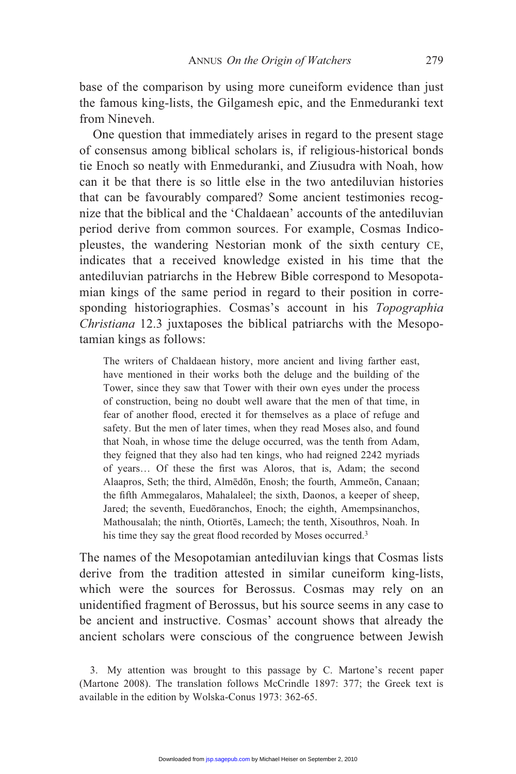base of the comparison by using more cuneiform evidence than just the famous king-lists, the Gilgamesh epic, and the Enmeduranki text from Nineveh.

 One question that immediately arises in regard to the present stage of consensus among biblical scholars is, if religious-historical bonds tie Enoch so neatly with Enmeduranki, and Ziusudra with Noah, how can it be that there is so little else in the two antediluvian histories that can be favourably compared? Some ancient testimonies recognize that the biblical and the 'Chaldaean' accounts of the antediluvian period derive from common sources. For example, Cosmas Indicopleustes, the wandering Nestorian monk of the sixth century CE, indicates that a received knowledge existed in his time that the antediluvian patriarchs in the Hebrew Bible correspond to Mesopotamian kings of the same period in regard to their position in corresponding historiographies. Cosmas's account in his *Topographia Christiana* 12.3 juxtaposes the biblical patriarchs with the Mesopotamian kings as follows:

The writers of Chaldaean history, more ancient and living farther east, have mentioned in their works both the deluge and the building of the Tower, since they saw that Tower with their own eyes under the process of construction, being no doubt well aware that the men of that time, in fear of another flood, erected it for themselves as a place of refuge and safety. But the men of later times, when they read Moses also, and found that Noah, in whose time the deluge occurred, was the tenth from Adam, they feigned that they also had ten kings, who had reigned 2242 myriads of years... Of these the first was Aloros, that is, Adam; the second Alaapros, Seth; the third, Almedon, Enosh; the fourth, Ammeon, Canaan; the fifth Ammegalaros, Mahalaleel; the sixth, Daonos, a keeper of sheep, Jared; the seventh, Euedōranchos, Enoch; the eighth, Amempsinanchos, Mathousalah; the ninth, Otiortēs, Lamech; the tenth, Xisouthros, Noah. In his time they say the great flood recorded by Moses occurred.<sup>3</sup>

The names of the Mesopotamian antediluvian kings that Cosmas lists derive from the tradition attested in similar cuneiform king-lists, which were the sources for Berossus. Cosmas may rely on an unidentified fragment of Berossus, but his source seems in any case to be ancient and instructive. Cosmas' account shows that already the ancient scholars were conscious of the congruence between Jewish

 3. My attention was brought to this passage by C. Martone's recent paper (Martone 2008). The translation follows McCrindle 1897: 377; the Greek text is available in the edition by Wolska-Conus 1973: 362-65.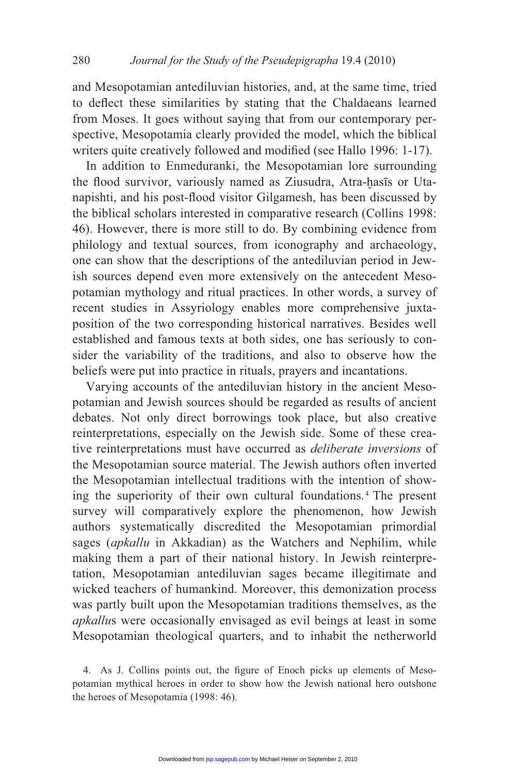and Mesopotamian antediluvian histories, and, at the same time, tried to deflect these similarities by stating that the Chaldaeans learned from Moses. It goes without saying that from our contemporary perspective, Mesopotamia clearly provided the model, which the biblical writers quite creatively followed and modified (see Hallo 1996: 1-17).

 In addition to Enmeduranki, the Mesopotamian lore surrounding the flood survivor, variously named as Ziusudra, Atra-hasis or Utanapishti, and his post-flood visitor Gilgamesh, has been discussed by the biblical scholars interested in comparative research (Collins 1998: 46). However, there is more still to do. By combining evidence from philology and textual sources, from iconography and archaeology, one can show that the descriptions of the antediluvian period in Jewish sources depend even more extensively on the antecedent Mesopotamian mythology and ritual practices. In other words, a survey of recent studies in Assyriology enables more comprehensive juxtaposition of the two corresponding historical narratives. Besides well established and famous texts at both sides, one has seriously to consider the variability of the traditions, and also to observe how the beliefs were put into practice in rituals, prayers and incantations.

 Varying accounts of the antediluvian history in the ancient Mesopotamian and Jewish sources should be regarded as results of ancient debates. Not only direct borrowings took place, but also creative reinterpretations, especially on the Jewish side. Some of these creative reinterpretations must have occurred as *deliberate inversions* of the Mesopotamian source material. The Jewish authors often inverted the Mesopotamian intellectual traditions with the intention of showing the superiority of their own cultural foundations. 4 The present survey will comparatively explore the phenomenon, how Jewish authors systematically discredited the Mesopotamian primordial sages (*apkallu* in Akkadian) as the Watchers and Nephilim, while making them a part of their national history. In Jewish reinterpretation, Mesopotamian antediluvian sages became illegitimate and wicked teachers of humankind. Moreover, this demonization process was partly built upon the Mesopotamian traditions themselves, as the *apkallu*s were occasionally envisaged as evil beings at least in some Mesopotamian theological quarters, and to inhabit the netherworld

4. As J. Collins points out, the figure of Enoch picks up elements of Mesopotamian mythical heroes in order to show how the Jewish national hero outshone the heroes of Mesopotamia (1998: 46).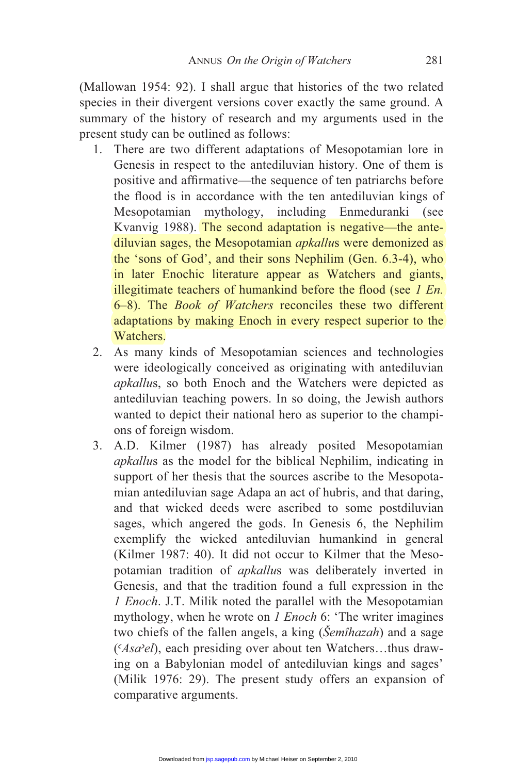(Mallowan 1954: 92). I shall argue that histories of the two related species in their divergent versions cover exactly the same ground. A summary of the history of research and my arguments used in the present study can be outlined as follows:

- 1. There are two different adaptations of Mesopotamian lore in Genesis in respect to the antediluvian history. One of them is positive and affirmative—the sequence of ten patriarchs before the flood is in accordance with the ten antediluvian kings of Mesopotamian mythology, including Enmeduranki (see Kvanvig 1988). The second adaptation is negative—the antediluvian sages, the Mesopotamian *apkallu*s were demonized as the 'sons of God', and their sons Nephilim (Gen. 6.3-4), who in later Enochic literature appear as Watchers and giants, illegitimate teachers of humankind before the flood (see *1 En.*) 6–8). The *Book of Watchers* reconciles these two different adaptations by making Enoch in every respect superior to the Watchers.
- 2. As many kinds of Mesopotamian sciences and technologies were ideologically conceived as originating with antediluvian *apkallu*s, so both Enoch and the Watchers were depicted as antediluvian teaching powers. In so doing, the Jewish authors wanted to depict their national hero as superior to the champions of foreign wisdom.
- 3. A.D. Kilmer (1987) has already posited Mesopotamian *apkallu*s as the model for the biblical Nephilim, indicating in support of her thesis that the sources ascribe to the Mesopotamian antediluvian sage Adapa an act of hubris, and that daring, and that wicked deeds were ascribed to some postdiluvian sages, which angered the gods. In Genesis 6, the Nephilim exemplify the wicked antediluvian humankind in general (Kilmer 1987: 40). It did not occur to Kilmer that the Mesopotamian tradition of *apkallu*s was deliberately inverted in Genesis, and that the tradition found a full expression in the *1 Enoch*. J.T. Milik noted the parallel with the Mesopotamian mythology, when he wrote on *1 Enoch* 6: 'The writer imagines two chiefs of the fallen angels, a king (*Šemîhazah*) and a sage (*-Asael*), each presiding over about ten Watchers…thus drawing on a Babylonian model of antediluvian kings and sages' (Milik 1976: 29). The present study offers an expansion of comparative arguments.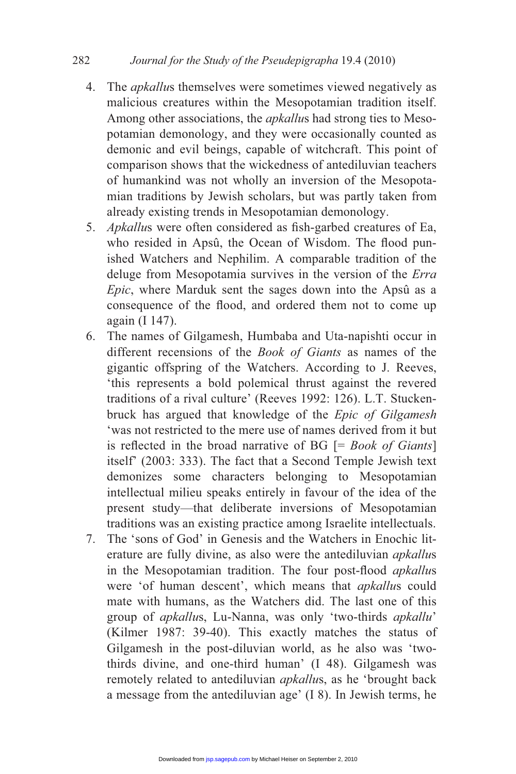- 4. The *apkallu*s themselves were sometimes viewed negatively as malicious creatures within the Mesopotamian tradition itself. Among other associations, the *apkallu*s had strong ties to Mesopotamian demonology, and they were occasionally counted as demonic and evil beings, capable of witchcraft. This point of comparison shows that the wickedness of antediluvian teachers of humankind was not wholly an inversion of the Mesopotamian traditions by Jewish scholars, but was partly taken from already existing trends in Mesopotamian demonology.
- 5. Apkallus were often considered as fish-garbed creatures of Ea, who resided in Apsû, the Ocean of Wisdom. The flood punished Watchers and Nephilim. A comparable tradition of the deluge from Mesopotamia survives in the version of the *Erra Epic*, where Marduk sent the sages down into the Apsû as a consequence of the flood, and ordered them not to come up again (I 147).
- 6. The names of Gilgamesh, Humbaba and Uta-napishti occur in different recensions of the *Book of Giants* as names of the gigantic offspring of the Watchers. According to J. Reeves, 'this represents a bold polemical thrust against the revered traditions of a rival culture' (Reeves 1992: 126). L.T. Stuckenbruck has argued that knowledge of the *Epic of Gilgamesh*  'was not restricted to the mere use of names derived from it but is reflected in the broad narrative of  $BG$   $[= Book\ of\ Giants]$ itself' (2003: 333). The fact that a Second Temple Jewish text demonizes some characters belonging to Mesopotamian intellectual milieu speaks entirely in favour of the idea of the present study—that deliberate inversions of Mesopotamian traditions was an existing practice among Israelite intellectuals.
- 7. The 'sons of God' in Genesis and the Watchers in Enochic literature are fully divine, as also were the antediluvian *apkallu*s in the Mesopotamian tradition. The four post-flood *apkallus* were 'of human descent', which means that *apkallu*s could mate with humans, as the Watchers did. The last one of this group of *apkallu*s, Lu-Nanna, was only 'two-thirds *apkallu*' (Kilmer 1987: 39-40). This exactly matches the status of Gilgamesh in the post-diluvian world, as he also was 'twothirds divine, and one-third human' (I 48). Gilgamesh was remotely related to antediluvian *apkallu*s, as he 'brought back a message from the antediluvian age' (I 8). In Jewish terms, he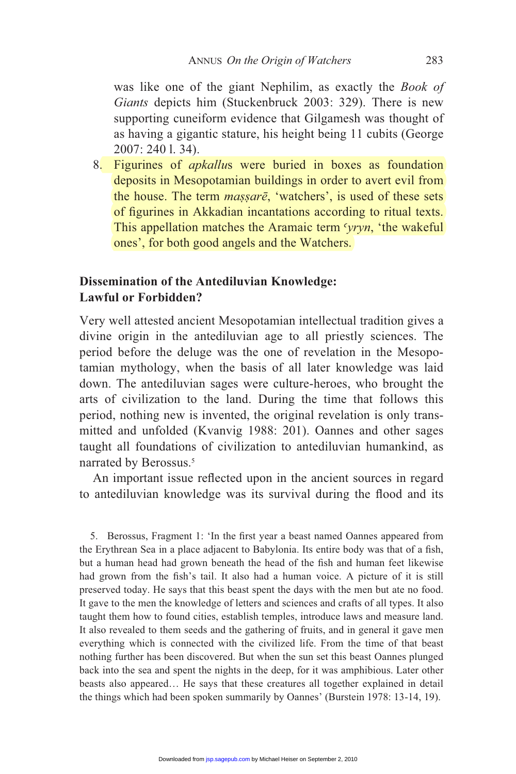was like one of the giant Nephilim, as exactly the *Book of Giants* depicts him (Stuckenbruck 2003: 329). There is new supporting cuneiform evidence that Gilgamesh was thought of as having a gigantic stature, his height being 11 cubits (George 2007: 240 l. 34).

8. Figurines of *apkallu*s were buried in boxes as foundation deposits in Mesopotamian buildings in order to avert evil from the house. The term *massare*, 'watchers', is used of these sets of figurines in Akkadian incantations according to ritual texts. This appellation matches the Aramaic term 'yryn, 'the wakeful ones', for both good angels and the Watchers.

## **Dissemination of the Antediluvian Knowledge: Lawful or Forbidden?**

Very well attested ancient Mesopotamian intellectual tradition gives a divine origin in the antediluvian age to all priestly sciences. The period before the deluge was the one of revelation in the Mesopotamian mythology, when the basis of all later knowledge was laid down. The antediluvian sages were culture-heroes, who brought the arts of civilization to the land. During the time that follows this period, nothing new is invented, the original revelation is only transmitted and unfolded (Kvanvig 1988: 201). Oannes and other sages taught all foundations of civilization to antediluvian humankind, as narrated by Berossus.<sup>5</sup>

An important issue reflected upon in the ancient sources in regard to antediluvian knowledge was its survival during the flood and its

5. Berossus, Fragment 1: 'In the first year a beast named Oannes appeared from the Erythrean Sea in a place adjacent to Babylonia. Its entire body was that of a fish, but a human head had grown beneath the head of the fish and human feet likewise had grown from the fish's tail. It also had a human voice. A picture of it is still preserved today. He says that this beast spent the days with the men but ate no food. It gave to the men the knowledge of letters and sciences and crafts of all types. It also taught them how to found cities, establish temples, introduce laws and measure land. It also revealed to them seeds and the gathering of fruits, and in general it gave men everything which is connected with the civilized life. From the time of that beast nothing further has been discovered. But when the sun set this beast Oannes plunged back into the sea and spent the nights in the deep, for it was amphibious. Later other beasts also appeared… He says that these creatures all together explained in detail the things which had been spoken summarily by Oannes' (Burstein 1978: 13-14, 19).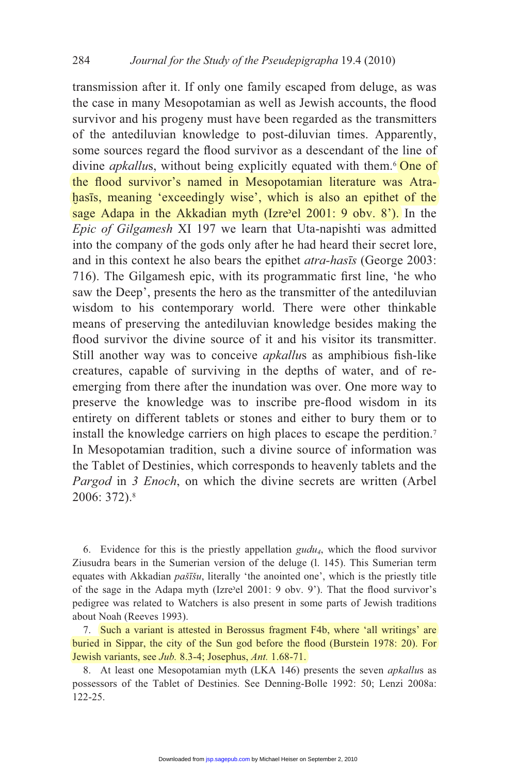transmission after it. If only one family escaped from deluge, as was the case in many Mesopotamian as well as Jewish accounts, the flood survivor and his progeny must have been regarded as the transmitters of the antediluvian knowledge to post-diluvian times. Apparently, some sources regard the flood survivor as a descendant of the line of divine *apkallus*, without being explicitly equated with them.<sup>6</sup> One of the flood survivor's named in Mesopotamian literature was Atrahasis, meaning 'exceedingly wise', which is also an epithet of the sage Adapa in the Akkadian myth (Izre'el 2001: 9 obv.  $8'$ ). In the *Epic of Gilgamesh* XI 197 we learn that Uta-napishti was admitted into the company of the gods only after he had heard their secret lore, and in this context he also bears the epithet *atra-hasts* (George 2003: 716). The Gilgamesh epic, with its programmatic first line, 'he who saw the Deep', presents the hero as the transmitter of the antediluvian wisdom to his contemporary world. There were other thinkable means of preserving the antediluvian knowledge besides making the flood survivor the divine source of it and his visitor its transmitter. Still another way was to conceive *apkallus* as amphibious fish-like creatures, capable of surviving in the depths of water, and of reemerging from there after the inundation was over. One more way to preserve the knowledge was to inscribe pre-flood wisdom in its entirety on different tablets or stones and either to bury them or to install the knowledge carriers on high places to escape the perdition.7 In Mesopotamian tradition, such a divine source of information was the Tablet of Destinies, which corresponds to heavenly tablets and the *Pargod* in 3 *Enoch*, on which the divine secrets are written (Arbel) 2006: 372).8

6. Evidence for this is the priestly appellation  $\frac{gudu}{4}$ , which the flood survivor Ziusudra bears in the Sumerian version of the deluge (l. 145). This Sumerian term equates with Akkadian *paššu*, literally 'the anointed one', which is the priestly title of the sage in the Adapa myth (Izre'el 2001: 9 obv. 9'). That the flood survivor's pedigree was related to Watchers is also present in some parts of Jewish traditions about Noah (Reeves 1993).

 7. Such a variant is attested in Berossus fragment F4b, where 'all writings' are buried in Sippar, the city of the Sun god before the flood (Burstein 1978: 20). For Jewish variants, see *Jub.* 8.3-4; Josephus, *Ant.* 1.68-71.

 8. At least one Mesopotamian myth (LKA 146) presents the seven *apkallu*s as possessors of the Tablet of Destinies. See Denning-Bolle 1992: 50; Lenzi 2008a: 122-25.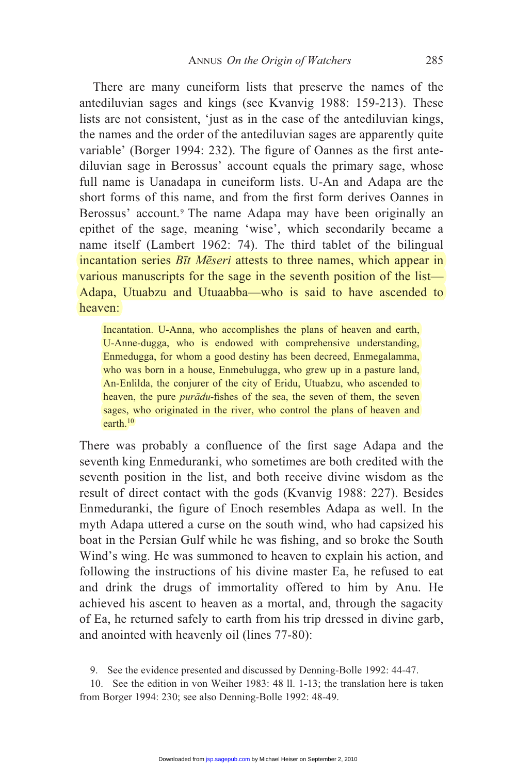There are many cuneiform lists that preserve the names of the antediluvian sages and kings (see Kvanvig 1988: 159-213). These lists are not consistent, 'just as in the case of the antediluvian kings, the names and the order of the antediluvian sages are apparently quite variable' (Borger 1994: 232). The figure of Oannes as the first antediluvian sage in Berossus' account equals the primary sage, whose full name is Uanadapa in cuneiform lists. U-An and Adapa are the short forms of this name, and from the first form derives Oannes in Berossus' account.<sup>9</sup> The name Adapa may have been originally an epithet of the sage, meaning 'wise', which secondarily became a name itself (Lambert 1962: 74). The third tablet of the bilingual incantation series *Btt Meseri* attests to three names, which appear in various manuscripts for the sage in the seventh position of the list— Adapa, Utuabzu and Utuaabba—who is said to have ascended to heaven:

Incantation. U-Anna, who accomplishes the plans of heaven and earth, U-Anne-dugga, who is endowed with comprehensive understanding, Enmedugga, for whom a good destiny has been decreed, Enmegalamma, who was born in a house, Enmebulugga, who grew up in a pasture land, An-Enlilda, the conjurer of the city of Eridu, Utuabzu, who ascended to heaven, the pure *purādu*-fishes of the sea, the seven of them, the seven sages, who originated in the river, who control the plans of heaven and earth.10

There was probably a confluence of the first sage Adapa and the seventh king Enmeduranki, who sometimes are both credited with the seventh position in the list, and both receive divine wisdom as the result of direct contact with the gods (Kvanvig 1988: 227). Besides Enmeduranki, the figure of Enoch resembles Adapa as well. In the myth Adapa uttered a curse on the south wind, who had capsized his boat in the Persian Gulf while he was fishing, and so broke the South Wind's wing. He was summoned to heaven to explain his action, and following the instructions of his divine master Ea, he refused to eat and drink the drugs of immortality offered to him by Anu. He achieved his ascent to heaven as a mortal, and, through the sagacity of Ea, he returned safely to earth from his trip dressed in divine garb, and anointed with heavenly oil (lines 77-80):

9. See the evidence presented and discussed by Denning-Bolle 1992: 44-47.

 10. See the edition in von Weiher 1983: 48 ll. 1-13; the translation here is taken from Borger 1994: 230; see also Denning-Bolle 1992: 48-49.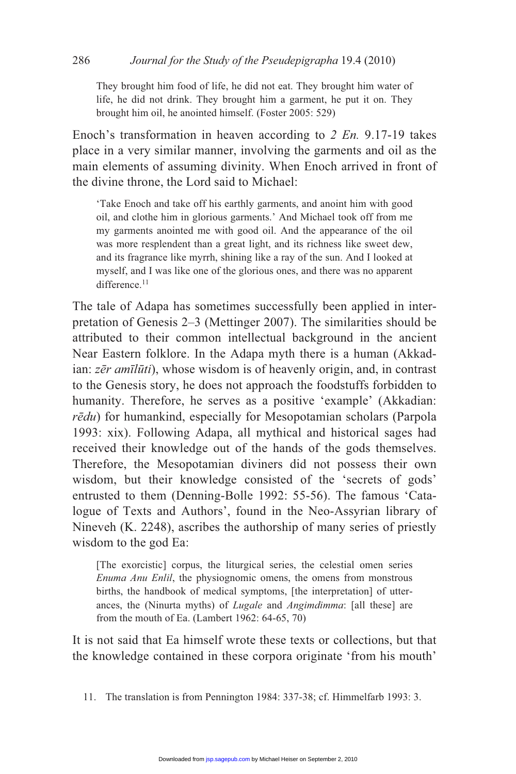They brought him food of life, he did not eat. They brought him water of life, he did not drink. They brought him a garment, he put it on. They brought him oil, he anointed himself. (Foster 2005: 529)

Enoch's transformation in heaven according to *2 En.* 9.17-19 takes place in a very similar manner, involving the garments and oil as the main elements of assuming divinity. When Enoch arrived in front of the divine throne, the Lord said to Michael:

'Take Enoch and take off his earthly garments, and anoint him with good oil, and clothe him in glorious garments.' And Michael took off from me my garments anointed me with good oil. And the appearance of the oil was more resplendent than a great light, and its richness like sweet dew, and its fragrance like myrrh, shining like a ray of the sun. And I looked at myself, and I was like one of the glorious ones, and there was no apparent difference.<sup>11</sup>

The tale of Adapa has sometimes successfully been applied in interpretation of Genesis 2–3 (Mettinger 2007). The similarities should be attributed to their common intellectual background in the ancient Near Eastern folklore. In the Adapa myth there is a human (Akkadian: *zēr amīlūti*), whose wisdom is of heavenly origin, and, in contrast to the Genesis story, he does not approach the foodstuffs forbidden to humanity. Therefore, he serves as a positive 'example' (Akkadian: *rēdu*) for humankind, especially for Mesopotamian scholars (Parpola 1993: xix). Following Adapa, all mythical and historical sages had received their knowledge out of the hands of the gods themselves. Therefore, the Mesopotamian diviners did not possess their own wisdom, but their knowledge consisted of the 'secrets of gods' entrusted to them (Denning-Bolle 1992: 55-56). The famous 'Catalogue of Texts and Authors', found in the Neo-Assyrian library of Nineveh (K. 2248), ascribes the authorship of many series of priestly wisdom to the god Ea:

[The exorcistic] corpus, the liturgical series, the celestial omen series *Enuma Anu Enlil*, the physiognomic omens, the omens from monstrous births, the handbook of medical symptoms, [the interpretation] of utterances, the (Ninurta myths) of *Lugale* and *Angimdimma*: [all these] are from the mouth of Ea. (Lambert 1962: 64-65, 70)

It is not said that Ea himself wrote these texts or collections, but that the knowledge contained in these corpora originate 'from his mouth'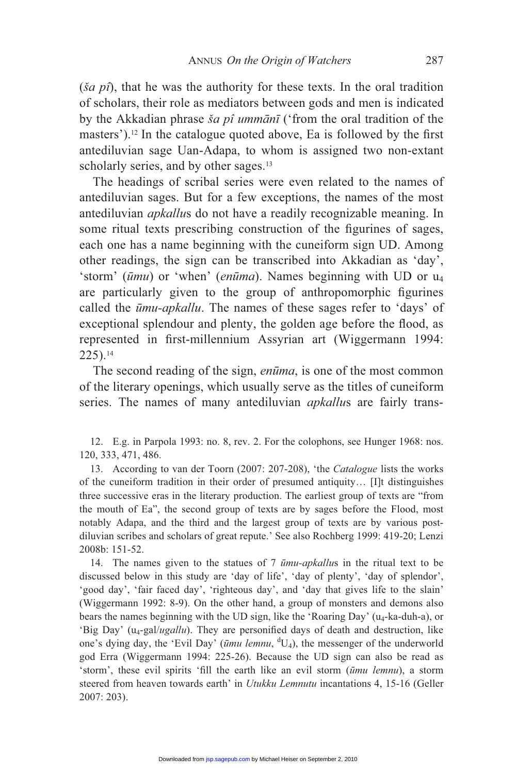(*ša pî*), that he was the authority for these texts. In the oral tradition of scholars, their role as mediators between gods and men is indicated by the Akkadian phrase *ša pî ummānī* ('from the oral tradition of the masters').<sup>12</sup> In the catalogue quoted above, Ea is followed by the first antediluvian sage Uan-Adapa, to whom is assigned two non-extant scholarly series, and by other sages.<sup>13</sup>

 The headings of scribal series were even related to the names of antediluvian sages. But for a few exceptions, the names of the most antediluvian *apkallu*s do not have a readily recognizable meaning. In some ritual texts prescribing construction of the figurines of sages, each one has a name beginning with the cuneiform sign UD. Among other readings, the sign can be transcribed into Akkadian as 'day', 'storm'  $(\bar{u}mu)$  or 'when' (*en* $\bar{u}ma$ ). Names beginning with UD or  $u_4$ are particularly given to the group of anthropomorphic figurines called the *mu-apkallu*. The names of these sages refer to 'days' of exceptional splendour and plenty, the golden age before the flood, as represented in first-millennium Assyrian art (Wiggermann 1994: 225).14

The second reading of the sign, *enūma*, is one of the most common of the literary openings, which usually serve as the titles of cuneiform series. The names of many antediluvian *apkallu*s are fairly trans-

 12. E.g. in Parpola 1993: no. 8, rev. 2. For the colophons, see Hunger 1968: nos. 120, 333, 471, 486.

 13. According to van der Toorn (2007: 207-208), 'the *Catalogue* lists the works of the cuneiform tradition in their order of presumed antiquity… [I]t distinguishes three successive eras in the literary production. The earliest group of texts are "from the mouth of Ea", the second group of texts are by sages before the Flood, most notably Adapa, and the third and the largest group of texts are by various postdiluvian scribes and scholars of great repute.' See also Rochberg 1999: 419-20; Lenzi 2008b: 151-52.

 14. The names given to the statues of 7 *mu-apkallu*s in the ritual text to be discussed below in this study are 'day of life', 'day of plenty', 'day of splendor', 'good day', 'fair faced day', 'righteous day', and 'day that gives life to the slain' (Wiggermann 1992: 8-9). On the other hand, a group of monsters and demons also bears the names beginning with the UD sign, like the 'Roaring Day' ( $u_4$ -ka-duh-a), or 'Big Day' (u<sub>4</sub>-gal/ugallu). They are personified days of death and destruction, like one's dying day, the 'Evil Day' ( $\bar{u}mu$  lemnu, <sup>d</sup>U<sub>4</sub>), the messenger of the underworld god Erra (Wiggermann 1994: 225-26). Because the UD sign can also be read as 'storm', these evil spirits 'fill the earth like an evil storm ( $\bar{u}mu$  lemnu), a storm steered from heaven towards earth' in *Utukku Lemnutu* incantations 4, 15-16 (Geller 2007: 203).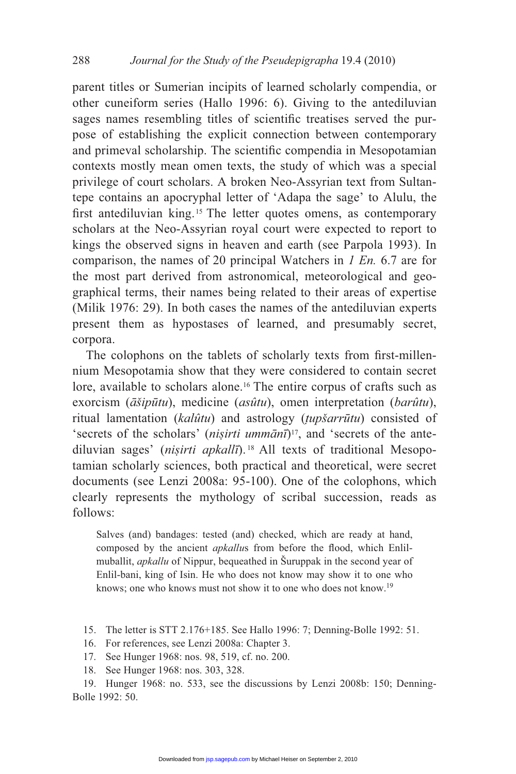parent titles or Sumerian incipits of learned scholarly compendia, or other cuneiform series (Hallo 1996: 6). Giving to the antediluvian sages names resembling titles of scientific treatises served the purpose of establishing the explicit connection between contemporary and primeval scholarship. The scientific compendia in Mesopotamian contexts mostly mean omen texts, the study of which was a special privilege of court scholars. A broken Neo-Assyrian text from Sultantepe contains an apocryphal letter of 'Adapa the sage' to Alulu, the first antediluvian king.<sup>15</sup> The letter quotes omens, as contemporary scholars at the Neo-Assyrian royal court were expected to report to kings the observed signs in heaven and earth (see Parpola 1993). In comparison, the names of 20 principal Watchers in *1 En.* 6.7 are for the most part derived from astronomical, meteorological and geographical terms, their names being related to their areas of expertise (Milik 1976: 29). In both cases the names of the antediluvian experts present them as hypostases of learned, and presumably secret, corpora.

The colophons on the tablets of scholarly texts from first-millennium Mesopotamia show that they were considered to contain secret lore, available to scholars alone.<sup>16</sup> The entire corpus of crafts such as exorcism ( $\bar{a}$ *šipūtu*), medicine (*asûtu*), omen interpretation (*barûtu*), ritual lamentation (*kalûtu*) and astrology (*tupšarrūtu*) consisted of 'secrets of the scholars' (*nisirti ummānī*)<sup>17</sup>, and 'secrets of the antediluvian sages' (*nisirti apkall*). 18 All texts of traditional Mesopotamian scholarly sciences, both practical and theoretical, were secret documents (see Lenzi 2008a: 95-100). One of the colophons, which clearly represents the mythology of scribal succession, reads as follows:

Salves (and) bandages: tested (and) checked, which are ready at hand, composed by the ancient *apkallus* from before the flood, which Enlilmuballit, *apkallu* of Nippur, bequeathed in Šuruppak in the second year of Enlil-bani, king of Isin. He who does not know may show it to one who knows; one who knows must not show it to one who does not know.19

- 15. The letter is STT 2.176+185. See Hallo 1996: 7; Denning-Bolle 1992: 51.
- 16. For references, see Lenzi 2008a: Chapter 3.
- 17. See Hunger 1968: nos. 98, 519, cf. no. 200.
- 18. See Hunger 1968: nos. 303, 328.

 19. Hunger 1968: no. 533, see the discussions by Lenzi 2008b: 150; Denning-Bolle 1992: 50.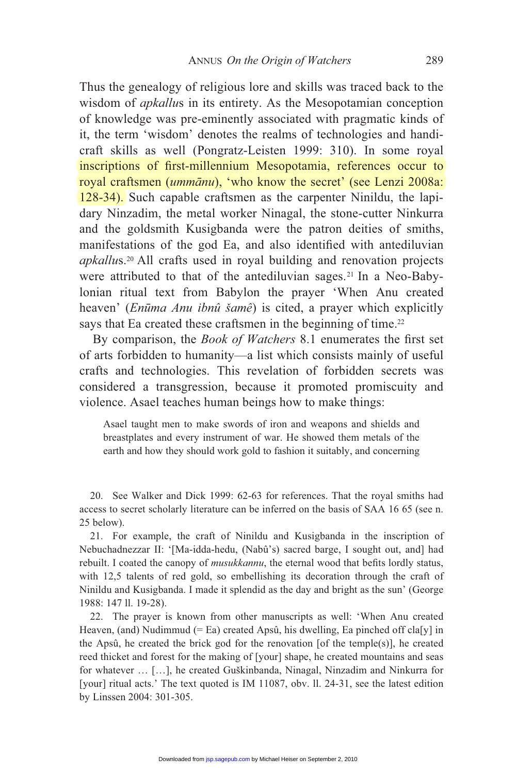Thus the genealogy of religious lore and skills was traced back to the wisdom of *apkallu*s in its entirety. As the Mesopotamian conception of knowledge was pre-eminently associated with pragmatic kinds of it, the term 'wisdom' denotes the realms of technologies and handicraft skills as well (Pongratz-Leisten 1999: 310). In some royal inscriptions of first-millennium Mesopotamia, references occur to royal craftsmen (*ummānu*), 'who know the secret' (see Lenzi 2008a: 128-34). Such capable craftsmen as the carpenter Ninildu, the lapidary Ninzadim, the metal worker Ninagal, the stone-cutter Ninkurra and the goldsmith Kusigbanda were the patron deities of smiths, manifestations of the god Ea, and also identified with antediluvian *apkallu*s.20 All crafts used in royal building and renovation projects were attributed to that of the antediluvian sages.<sup>21</sup> In a Neo-Babylonian ritual text from Babylon the prayer 'When Anu created heaven' (*Enma Anu ibnû šamê*) is cited, a prayer which explicitly says that Ea created these craftsmen in the beginning of time.<sup>22</sup>

By comparison, the *Book of Watchers* 8.1 enumerates the first set of arts forbidden to humanity—a list which consists mainly of useful crafts and technologies. This revelation of forbidden secrets was considered a transgression, because it promoted promiscuity and violence. Asael teaches human beings how to make things:

Asael taught men to make swords of iron and weapons and shields and breastplates and every instrument of war. He showed them metals of the earth and how they should work gold to fashion it suitably, and concerning

 20. See Walker and Dick 1999: 62-63 for references. That the royal smiths had access to secret scholarly literature can be inferred on the basis of SAA 16 65 (see n. 25 below).

 21. For example, the craft of Ninildu and Kusigbanda in the inscription of Nebuchadnezzar II: '[Ma-idda-hedu, (Nabû's) sacred barge, I sought out, and] had rebuilt. I coated the canopy of *musukkannu*, the eternal wood that befits lordly status, with 12,5 talents of red gold, so embellishing its decoration through the craft of Ninildu and Kusigbanda. I made it splendid as the day and bright as the sun' (George 1988: 147 ll. 19-28).

 22. The prayer is known from other manuscripts as well: 'When Anu created Heaven, (and) Nudimmud (= Ea) created Apsû, his dwelling, Ea pinched off cla[y] in the Apsû, he created the brick god for the renovation [of the temple(s)], he created reed thicket and forest for the making of [your] shape, he created mountains and seas for whatever … […], he created Guškinbanda, Ninagal, Ninzadim and Ninkurra for [your] ritual acts.' The text quoted is IM 11087, obv. ll. 24-31, see the latest edition by Linssen 2004: 301-305.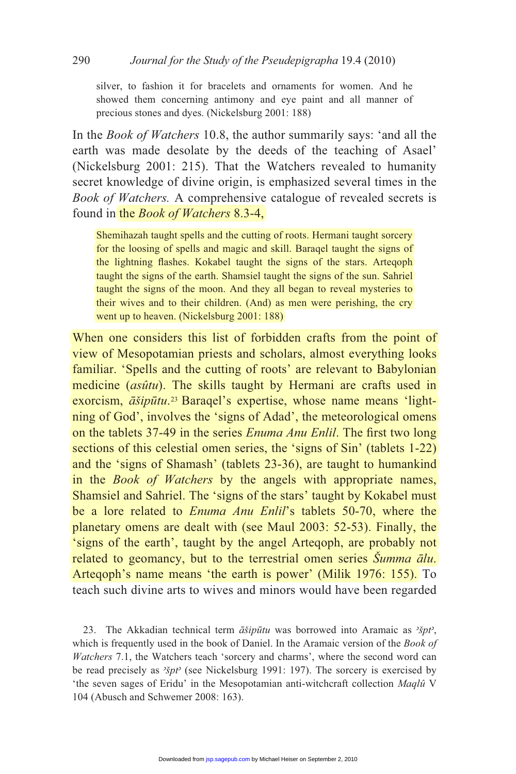silver, to fashion it for bracelets and ornaments for women. And he showed them concerning antimony and eye paint and all manner of precious stones and dyes. (Nickelsburg 2001: 188)

In the *Book of Watchers* 10.8, the author summarily says: 'and all the earth was made desolate by the deeds of the teaching of Asael' (Nickelsburg 2001: 215). That the Watchers revealed to humanity secret knowledge of divine origin, is emphasized several times in the *Book of Watchers.* A comprehensive catalogue of revealed secrets is found in the *Book of Watchers* 8.3-4,

Shemihazah taught spells and the cutting of roots. Hermani taught sorcery for the loosing of spells and magic and skill. Baraqel taught the signs of the lightning flashes. Kokabel taught the signs of the stars. Arteqoph taught the signs of the earth. Shamsiel taught the signs of the sun. Sahriel taught the signs of the moon. And they all began to reveal mysteries to their wives and to their children. (And) as men were perishing, the cry went up to heaven. (Nickelsburg 2001: 188)

When one considers this list of forbidden crafts from the point of view of Mesopotamian priests and scholars, almost everything looks familiar. 'Spells and the cutting of roots' are relevant to Babylonian medicine (*asûtu*). The skills taught by Hermani are crafts used in exorcism,  $\vec{a}$ *šipūtu*.<sup>23</sup> Baraqel's expertise, whose name means 'lightning of God', involves the 'signs of Adad', the meteorological omens on the tablets 37-49 in the series *Enuma Anu Enlil*. The first two long sections of this celestial omen series, the 'signs of Sin' (tablets 1-22) and the 'signs of Shamash' (tablets 23-36), are taught to humankind in the *Book of Watchers* by the angels with appropriate names, Shamsiel and Sahriel. The 'signs of the stars' taught by Kokabel must be a lore related to *Enuma Anu Enlil*'s tablets 50-70, where the planetary omens are dealt with (see Maul 2003: 52-53). Finally, the 'signs of the earth', taught by the angel Arteqoph, are probably not related to geomancy, but to the terrestrial omen series *Šumma ālu*. Arteqoph's name means 'the earth is power' (Milik 1976: 155). To teach such divine arts to wives and minors would have been regarded

23. The Akkadian technical term  $\vec{a} \vec{s} i p \vec{u} t u$  was borrowed into Aramaic as  $\lambda \vec{s} p t$ , which is frequently used in the book of Daniel. In the Aramaic version of the *Book of Watchers* 7.1, the Watchers teach 'sorcery and charms', where the second word can be read precisely as *špt* (see Nickelsburg 1991: 197). The sorcery is exercised by 'the seven sages of Eridu' in the Mesopotamian anti-witchcraft collection *Maqlû* V 104 (Abusch and Schwemer 2008: 163).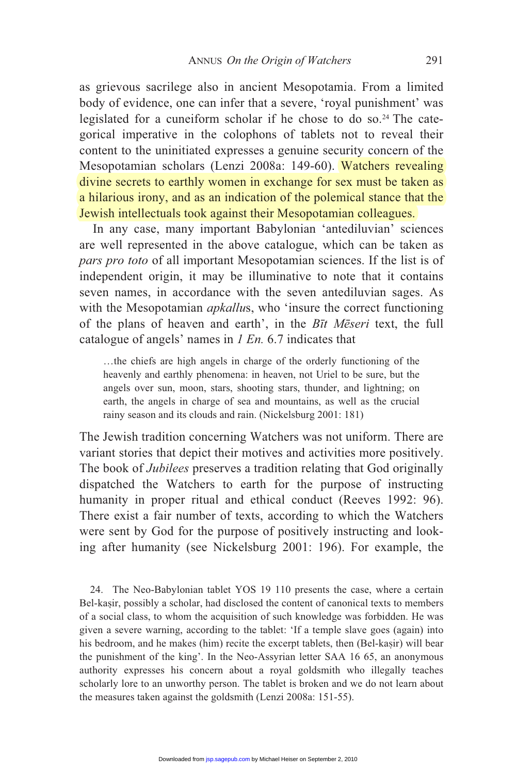as grievous sacrilege also in ancient Mesopotamia. From a limited body of evidence, one can infer that a severe, 'royal punishment' was legislated for a cuneiform scholar if he chose to do so.<sup>24</sup> The categorical imperative in the colophons of tablets not to reveal their content to the uninitiated expresses a genuine security concern of the Mesopotamian scholars (Lenzi 2008a: 149-60). Watchers revealing divine secrets to earthly women in exchange for sex must be taken as a hilarious irony, and as an indication of the polemical stance that the Jewish intellectuals took against their Mesopotamian colleagues.

 In any case, many important Babylonian 'antediluvian' sciences are well represented in the above catalogue, which can be taken as *pars pro toto* of all important Mesopotamian sciences. If the list is of independent origin, it may be illuminative to note that it contains seven names, in accordance with the seven antediluvian sages. As with the Mesopotamian *apkallus*, who 'insure the correct functioning of the plans of heaven and earth', in the *B*t Meseri text, the full catalogue of angels' names in *1 En.* 6.7 indicates that

…the chiefs are high angels in charge of the orderly functioning of the heavenly and earthly phenomena: in heaven, not Uriel to be sure, but the angels over sun, moon, stars, shooting stars, thunder, and lightning; on earth, the angels in charge of sea and mountains, as well as the crucial rainy season and its clouds and rain. (Nickelsburg 2001: 181)

The Jewish tradition concerning Watchers was not uniform. There are variant stories that depict their motives and activities more positively. The book of *Jubilees* preserves a tradition relating that God originally dispatched the Watchers to earth for the purpose of instructing humanity in proper ritual and ethical conduct (Reeves 1992: 96). There exist a fair number of texts, according to which the Watchers were sent by God for the purpose of positively instructing and looking after humanity (see Nickelsburg 2001: 196). For example, the

 24. The Neo-Babylonian tablet YOS 19 110 presents the case, where a certain Bel-kasir, possibly a scholar, had disclosed the content of canonical texts to members of a social class, to whom the acquisition of such knowledge was forbidden. He was given a severe warning, according to the tablet: 'If a temple slave goes (again) into his bedroom, and he makes (him) recite the excerpt tablets, then (Bel-kasir) will bear the punishment of the king'. In the Neo-Assyrian letter SAA 16 65, an anonymous authority expresses his concern about a royal goldsmith who illegally teaches scholarly lore to an unworthy person. The tablet is broken and we do not learn about the measures taken against the goldsmith (Lenzi 2008a: 151-55).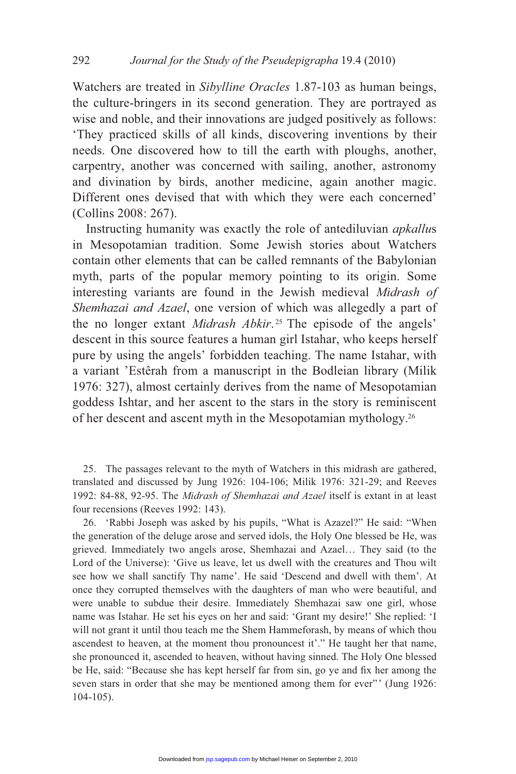Watchers are treated in *Sibylline Oracles* 1.87-103 as human beings, the culture-bringers in its second generation. They are portrayed as wise and noble, and their innovations are judged positively as follows: 'They practiced skills of all kinds, discovering inventions by their needs. One discovered how to till the earth with ploughs, another, carpentry, another was concerned with sailing, another, astronomy and divination by birds, another medicine, again another magic. Different ones devised that with which they were each concerned' (Collins 2008: 267).

 Instructing humanity was exactly the role of antediluvian *apkallu*s in Mesopotamian tradition. Some Jewish stories about Watchers contain other elements that can be called remnants of the Babylonian myth, parts of the popular memory pointing to its origin. Some interesting variants are found in the Jewish medieval *Midrash of Shemhazai and Azael*, one version of which was allegedly a part of the no longer extant *Midrash Abkir*. 25 The episode of the angels' descent in this source features a human girl Istahar, who keeps herself pure by using the angels' forbidden teaching. The name Istahar, with a variant 'Estêrah from a manuscript in the Bodleian library (Milik 1976: 327), almost certainly derives from the name of Mesopotamian goddess Ishtar, and her ascent to the stars in the story is reminiscent of her descent and ascent myth in the Mesopotamian mythology.26

 25. The passages relevant to the myth of Watchers in this midrash are gathered, translated and discussed by Jung 1926: 104-106; Milik 1976: 321-29; and Reeves 1992: 84-88, 92-95. The *Midrash of Shemhazai and Azael* itself is extant in at least four recensions (Reeves 1992: 143).

 26. 'Rabbi Joseph was asked by his pupils, "What is Azazel?" He said: "When the generation of the deluge arose and served idols, the Holy One blessed be He, was grieved. Immediately two angels arose, Shemhazai and Azael… They said (to the Lord of the Universe): 'Give us leave, let us dwell with the creatures and Thou wilt see how we shall sanctify Thy name'. He said 'Descend and dwell with them'. At once they corrupted themselves with the daughters of man who were beautiful, and were unable to subdue their desire. Immediately Shemhazai saw one girl, whose name was Istahar. He set his eyes on her and said: 'Grant my desire!' She replied: 'I will not grant it until thou teach me the Shem Hammeforash, by means of which thou ascendest to heaven, at the moment thou pronouncest it'." He taught her that name, she pronounced it, ascended to heaven, without having sinned. The Holy One blessed be He, said: "Because she has kept herself far from sin, go ye and fix her among the seven stars in order that she may be mentioned among them for ever"' (Jung 1926: 104-105).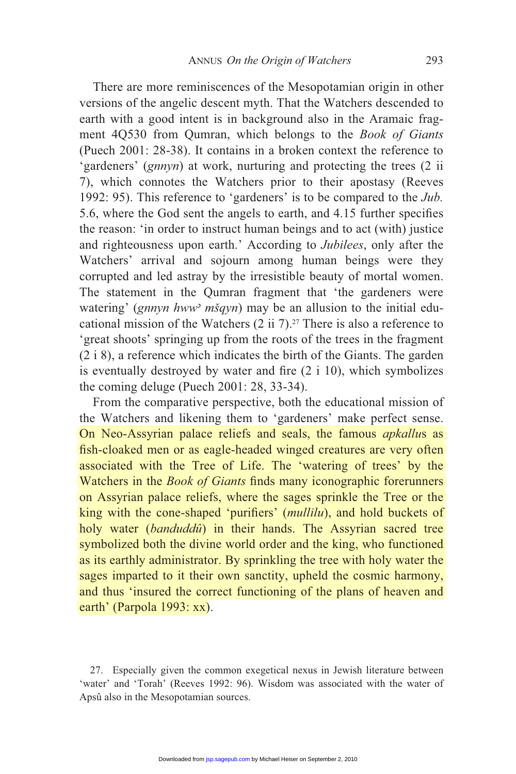There are more reminiscences of the Mesopotamian origin in other versions of the angelic descent myth. That the Watchers descended to earth with a good intent is in background also in the Aramaic fragment 4Q530 from Qumran, which belongs to the *Book of Giants*  (Puech 2001: 28-38). It contains in a broken context the reference to 'gardeners' (*gnnyn*) at work, nurturing and protecting the trees (2 ii 7), which connotes the Watchers prior to their apostasy (Reeves 1992: 95). This reference to 'gardeners' is to be compared to the *Jub.* 5.6, where the God sent the angels to earth, and 4.15 further specifies the reason: 'in order to instruct human beings and to act (with) justice and righteousness upon earth.' According to *Jubilees*, only after the Watchers' arrival and sojourn among human beings were they corrupted and led astray by the irresistible beauty of mortal women. The statement in the Qumran fragment that 'the gardeners were watering' (*gnnyn hww mšqyn*) may be an allusion to the initial educational mission of the Watchers  $(2 \text{ ii } 7)$ .<sup>27</sup> There is also a reference to 'great shoots' springing up from the roots of the trees in the fragment (2 i 8), a reference which indicates the birth of the Giants. The garden is eventually destroyed by water and fire  $(2 \text{ i } 10)$ , which symbolizes the coming deluge (Puech 2001: 28, 33-34).

 From the comparative perspective, both the educational mission of the Watchers and likening them to 'gardeners' make perfect sense. On Neo-Assyrian palace reliefs and seals, the famous *apkallu*s as fish-cloaked men or as eagle-headed winged creatures are very often associated with the Tree of Life. The 'watering of trees' by the Watchers in the *Book of Giants* finds many iconographic forerunners on Assyrian palace reliefs, where the sages sprinkle the Tree or the king with the cone-shaped 'purifiers' (*mullilu*), and hold buckets of holy water (*banduddû*) in their hands. The Assyrian sacred tree symbolized both the divine world order and the king, who functioned as its earthly administrator. By sprinkling the tree with holy water the sages imparted to it their own sanctity, upheld the cosmic harmony, and thus 'insured the correct functioning of the plans of heaven and earth' (Parpola 1993: xx).

 27. Especially given the common exegetical nexus in Jewish literature between 'water' and 'Torah' (Reeves 1992: 96). Wisdom was associated with the water of Apsû also in the Mesopotamian sources.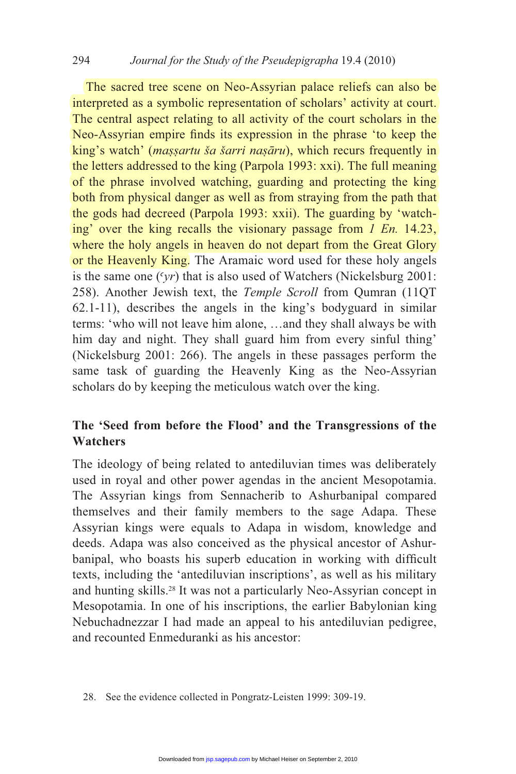The sacred tree scene on Neo-Assyrian palace reliefs can also be interpreted as a symbolic representation of scholars' activity at court. The central aspect relating to all activity of the court scholars in the Neo-Assyrian empire finds its expression in the phrase 'to keep the king's watch' (*maṣṣartu ša šarri naṣāru*), which recurs frequently in the letters addressed to the king (Parpola 1993: xxi). The full meaning of the phrase involved watching, guarding and protecting the king both from physical danger as well as from straying from the path that the gods had decreed (Parpola 1993: xxii). The guarding by 'watching' over the king recalls the visionary passage from *1 En.* 14.23, where the holy angels in heaven do not depart from the Great Glory or the Heavenly King. The Aramaic word used for these holy angels is the same one  $(\gamma r)$  that is also used of Watchers (Nickelsburg 2001: 258). Another Jewish text, the *Temple Scroll* from Qumran (11QT 62.1-11), describes the angels in the king's bodyguard in similar terms: 'who will not leave him alone, …and they shall always be with him day and night. They shall guard him from every sinful thing' (Nickelsburg 2001: 266). The angels in these passages perform the same task of guarding the Heavenly King as the Neo-Assyrian scholars do by keeping the meticulous watch over the king.

# **The 'Seed from before the Flood' and the Transgressions of the Watchers**

The ideology of being related to antediluvian times was deliberately used in royal and other power agendas in the ancient Mesopotamia. The Assyrian kings from Sennacherib to Ashurbanipal compared themselves and their family members to the sage Adapa. These Assyrian kings were equals to Adapa in wisdom, knowledge and deeds. Adapa was also conceived as the physical ancestor of Ashurbanipal, who boasts his superb education in working with difficult texts, including the 'antediluvian inscriptions', as well as his military and hunting skills.28 It was not a particularly Neo-Assyrian concept in Mesopotamia. In one of his inscriptions, the earlier Babylonian king Nebuchadnezzar I had made an appeal to his antediluvian pedigree, and recounted Enmeduranki as his ancestor: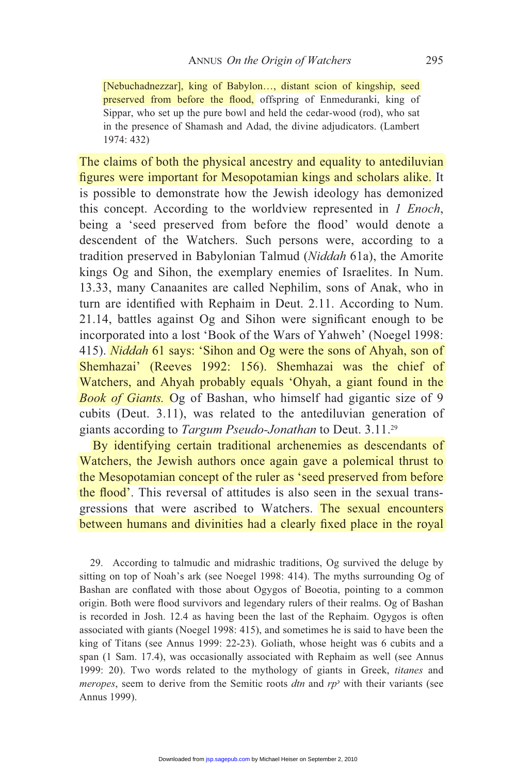[Nebuchadnezzar], king of Babylon…, distant scion of kingship, seed preserved from before the flood, offspring of Enmeduranki, king of Sippar, who set up the pure bowl and held the cedar-wood (rod), who sat in the presence of Shamash and Adad, the divine adjudicators. (Lambert 1974: 432)

The claims of both the physical ancestry and equality to antediluvian figures were important for Mesopotamian kings and scholars alike. It is possible to demonstrate how the Jewish ideology has demonized this concept. According to the worldview represented in *1 Enoch*, being a 'seed preserved from before the flood' would denote a descendent of the Watchers. Such persons were, according to a tradition preserved in Babylonian Talmud (*Niddah* 61a), the Amorite kings Og and Sihon, the exemplary enemies of Israelites. In Num. 13.33, many Canaanites are called Nephilim, sons of Anak, who in turn are identified with Rephaim in Deut. 2.11. According to Num. 21.14, battles against Og and Sihon were significant enough to be incorporated into a lost 'Book of the Wars of Yahweh' (Noegel 1998: 415). *Niddah* 61 says: 'Sihon and Og were the sons of Ahyah, son of Shemhazai' (Reeves 1992: 156). Shemhazai was the chief of Watchers, and Ahyah probably equals 'Ohyah, a giant found in the *Book of Giants.* Og of Bashan, who himself had gigantic size of 9 cubits (Deut. 3.11), was related to the antediluvian generation of giants according to *Targum Pseudo-Jonathan* to Deut. 3.11.29

 By identifying certain traditional archenemies as descendants of Watchers, the Jewish authors once again gave a polemical thrust to the Mesopotamian concept of the ruler as 'seed preserved from before the flood'. This reversal of attitudes is also seen in the sexual transgressions that were ascribed to Watchers. The sexual encounters between humans and divinities had a clearly fixed place in the royal

 29. According to talmudic and midrashic traditions, Og survived the deluge by sitting on top of Noah's ark (see Noegel 1998: 414). The myths surrounding Og of Bashan are conflated with those about Ogygos of Boeotia, pointing to a common origin. Both were flood survivors and legendary rulers of their realms. Og of Bashan is recorded in Josh. 12.4 as having been the last of the Rephaim. Ogygos is often associated with giants (Noegel 1998: 415), and sometimes he is said to have been the king of Titans (see Annus 1999: 22-23). Goliath, whose height was 6 cubits and a span (1 Sam. 17.4), was occasionally associated with Rephaim as well (see Annus 1999: 20). Two words related to the mythology of giants in Greek, *titanes* and *meropes*, seem to derive from the Semitic roots  $dm$  and  $rp$  with their variants (see Annus 1999).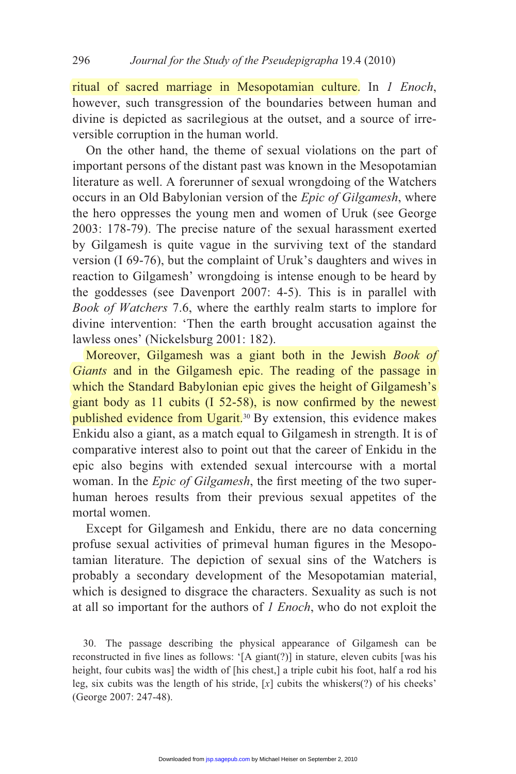ritual of sacred marriage in Mesopotamian culture. In *1 Enoch*, however, such transgression of the boundaries between human and divine is depicted as sacrilegious at the outset, and a source of irreversible corruption in the human world.

 On the other hand, the theme of sexual violations on the part of important persons of the distant past was known in the Mesopotamian literature as well. A forerunner of sexual wrongdoing of the Watchers occurs in an Old Babylonian version of the *Epic of Gilgamesh*, where the hero oppresses the young men and women of Uruk (see George 2003: 178-79). The precise nature of the sexual harassment exerted by Gilgamesh is quite vague in the surviving text of the standard version (I 69-76), but the complaint of Uruk's daughters and wives in reaction to Gilgamesh' wrongdoing is intense enough to be heard by the goddesses (see Davenport 2007: 4-5). This is in parallel with *Book of Watchers* 7.6, where the earthly realm starts to implore for divine intervention: 'Then the earth brought accusation against the lawless ones' (Nickelsburg 2001: 182).

 Moreover, Gilgamesh was a giant both in the Jewish *Book of Giants* and in the Gilgamesh epic. The reading of the passage in which the Standard Babylonian epic gives the height of Gilgamesh's giant body as  $11$  cubits  $(1\ 52-58)$ , is now confirmed by the newest published evidence from Ugarit.<sup>30</sup> By extension, this evidence makes Enkidu also a giant, as a match equal to Gilgamesh in strength. It is of comparative interest also to point out that the career of Enkidu in the epic also begins with extended sexual intercourse with a mortal woman. In the *Epic of Gilgamesh*, the first meeting of the two superhuman heroes results from their previous sexual appetites of the mortal women.

 Except for Gilgamesh and Enkidu, there are no data concerning profuse sexual activities of primeval human figures in the Mesopotamian literature. The depiction of sexual sins of the Watchers is probably a secondary development of the Mesopotamian material, which is designed to disgrace the characters. Sexuality as such is not at all so important for the authors of *1 Enoch*, who do not exploit the

 <sup>30.</sup> The passage describing the physical appearance of Gilgamesh can be reconstructed in five lines as follows: '[A giant(?)] in stature, eleven cubits [was his height, four cubits was] the width of [his chest,] a triple cubit his foot, half a rod his leg, six cubits was the length of his stride, [*x*] cubits the whiskers(?) of his cheeks' (George 2007: 247-48).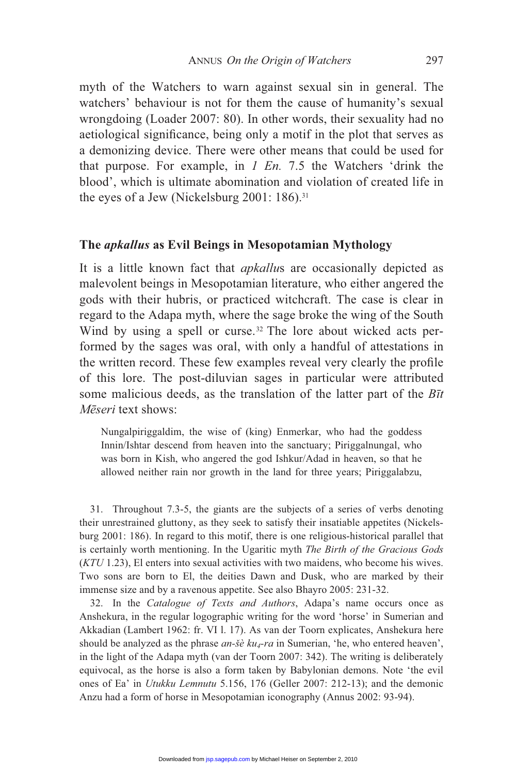myth of the Watchers to warn against sexual sin in general. The watchers' behaviour is not for them the cause of humanity's sexual wrongdoing (Loader 2007: 80). In other words, their sexuality had no aetiological significance, being only a motif in the plot that serves as a demonizing device. There were other means that could be used for that purpose. For example, in *1 En.* 7.5 the Watchers 'drink the blood', which is ultimate abomination and violation of created life in the eyes of a Jew (Nickelsburg 2001: 186).<sup>31</sup>

#### **The** *apkallus* **as Evil Beings in Mesopotamian Mythology**

It is a little known fact that *apkallu*s are occasionally depicted as malevolent beings in Mesopotamian literature, who either angered the gods with their hubris, or practiced witchcraft. The case is clear in regard to the Adapa myth, where the sage broke the wing of the South Wind by using a spell or curse.<sup>32</sup> The lore about wicked acts performed by the sages was oral, with only a handful of attestations in the written record. These few examples reveal very clearly the profile of this lore. The post-diluvian sages in particular were attributed some malicious deeds, as the translation of the latter part of the *B*t *Mēseri* text shows:

Nungalpiriggaldim, the wise of (king) Enmerkar, who had the goddess Innin/Ishtar descend from heaven into the sanctuary; Piriggalnungal, who was born in Kish, who angered the god Ishkur/Adad in heaven, so that he allowed neither rain nor growth in the land for three years; Piriggalabzu,

 31. Throughout 7.3-5, the giants are the subjects of a series of verbs denoting their unrestrained gluttony, as they seek to satisfy their insatiable appetites (Nickelsburg 2001: 186). In regard to this motif, there is one religious-historical parallel that is certainly worth mentioning. In the Ugaritic myth *The Birth of the Gracious Gods* (*KTU* 1.23), El enters into sexual activities with two maidens, who become his wives. Two sons are born to El, the deities Dawn and Dusk, who are marked by their immense size and by a ravenous appetite. See also Bhayro 2005: 231-32.

 32. In the *Catalogue of Texts and Authors*, Adapa's name occurs once as Anshekura, in the regular logographic writing for the word 'horse' in Sumerian and Akkadian (Lambert 1962: fr. VI l. 17). As van der Toorn explicates, Anshekura here should be analyzed as the phrase *an-šè ku4-ra* in Sumerian, 'he, who entered heaven', in the light of the Adapa myth (van der Toorn 2007: 342). The writing is deliberately equivocal, as the horse is also a form taken by Babylonian demons. Note 'the evil ones of Ea' in *Utukku Lemnutu* 5.156, 176 (Geller 2007: 212-13); and the demonic Anzu had a form of horse in Mesopotamian iconography (Annus 2002: 93-94).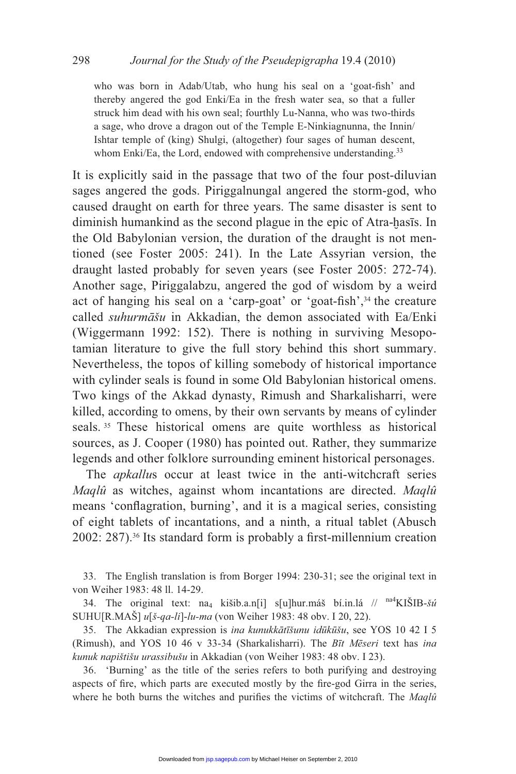who was born in Adab/Utab, who hung his seal on a 'goat-fish' and thereby angered the god Enki/Ea in the fresh water sea, so that a fuller struck him dead with his own seal; fourthly Lu-Nanna, who was two-thirds a sage, who drove a dragon out of the Temple E-Ninkiagnunna, the Innin/ Ishtar temple of (king) Shulgi, (altogether) four sages of human descent, whom Enki/Ea, the Lord, endowed with comprehensive understanding.<sup>33</sup>

It is explicitly said in the passage that two of the four post-diluvian sages angered the gods. Piriggalnungal angered the storm-god, who caused draught on earth for three years. The same disaster is sent to diminish humankind as the second plague in the epic of Atra-hasis. In the Old Babylonian version, the duration of the draught is not mentioned (see Foster 2005: 241). In the Late Assyrian version, the draught lasted probably for seven years (see Foster 2005: 272-74). Another sage, Piriggalabzu, angered the god of wisdom by a weird act of hanging his seal on a 'carp-goat' or 'goat-fish',<sup>34</sup> the creature called *suhurmāšu* in Akkadian, the demon associated with Ea/Enki (Wiggermann 1992: 152). There is nothing in surviving Mesopotamian literature to give the full story behind this short summary. Nevertheless, the topos of killing somebody of historical importance with cylinder seals is found in some Old Babylonian historical omens. Two kings of the Akkad dynasty, Rimush and Sharkalisharri, were killed, according to omens, by their own servants by means of cylinder seals. 35 These historical omens are quite worthless as historical sources, as J. Cooper (1980) has pointed out. Rather, they summarize legends and other folklore surrounding eminent historical personages.

The *apkallus* occur at least twice in the anti-witchcraft series *Maqlû* as witches, against whom incantations are directed. *Maqlû* means 'conflagration, burning', and it is a magical series, consisting of eight tablets of incantations, and a ninth, a ritual tablet (Abusch 2002: 287).<sup>36</sup> Its standard form is probably a first-millennium creation

 33. The English translation is from Borger 1994: 230-31; see the original text in von Weiher 1983: 48 ll. 14-29.

34. The original text:  $na_4$  kišib.a.n[i] s[u]hur.máš bí.in.lá //  $n^4$ KIŠIB-*šú* SUHU[R.MAŠ] *u*[*š-qa-li*]-*lu-ma* (von Weiher 1983: 48 obv. I 20, 22).

35. The Akkadian expression is *ina kunukkātīšunu idūkūšu*, see YOS 10 42 I 5 (Rimush), and YOS 10 46 v 33-34 (Sharkalisharri). The *Bīt Mēseri* text has *ina kunuk napištišu urassibušu* in Akkadian (von Weiher 1983: 48 obv. I 23).

 36. 'Burning' as the title of the series refers to both purifying and destroying aspects of fire, which parts are executed mostly by the fire-god Girra in the series, where he both burns the witches and purifies the victims of witchcraft. The *Maqlû*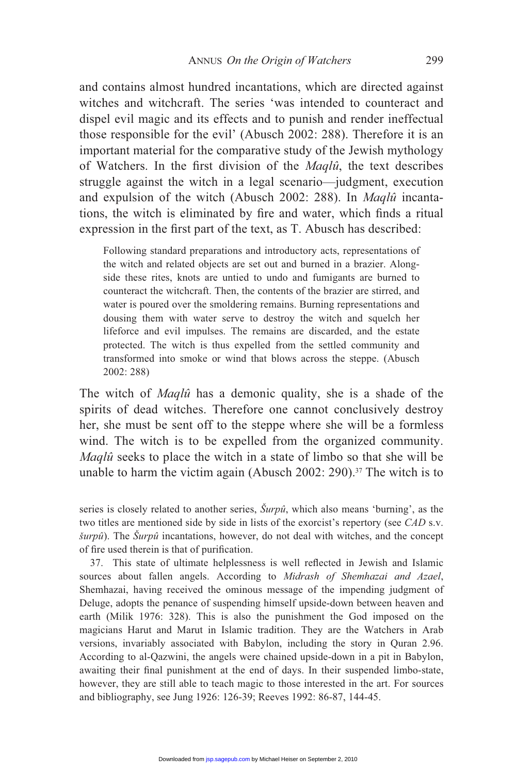and contains almost hundred incantations, which are directed against witches and witchcraft. The series 'was intended to counteract and dispel evil magic and its effects and to punish and render ineffectual those responsible for the evil' (Abusch 2002: 288). Therefore it is an important material for the comparative study of the Jewish mythology of Watchers. In the first division of the *Maqlû*, the text describes struggle against the witch in a legal scenario—judgment, execution and expulsion of the witch (Abusch 2002: 288). In *Maqlû* incantations, the witch is eliminated by fire and water, which finds a ritual expression in the first part of the text, as T. Abusch has described:

Following standard preparations and introductory acts, representations of the witch and related objects are set out and burned in a brazier. Alongside these rites, knots are untied to undo and fumigants are burned to counteract the witchcraft. Then, the contents of the brazier are stirred, and water is poured over the smoldering remains. Burning representations and dousing them with water serve to destroy the witch and squelch her lifeforce and evil impulses. The remains are discarded, and the estate protected. The witch is thus expelled from the settled community and transformed into smoke or wind that blows across the steppe. (Abusch 2002: 288)

The witch of *Maqlû* has a demonic quality, she is a shade of the spirits of dead witches. Therefore one cannot conclusively destroy her, she must be sent off to the steppe where she will be a formless wind. The witch is to be expelled from the organized community. *Maqlû* seeks to place the witch in a state of limbo so that she will be unable to harm the victim again (Abusch 2002: 290).37 The witch is to

series is closely related to another series, *Šurpû*, which also means 'burning', as the two titles are mentioned side by side in lists of the exorcist's repertory (see *CAD* s.v. *šurpû*). The *Šurpû* incantations, however, do not deal with witches, and the concept of fire used therein is that of purification.

37. This state of ultimate helplessness is well reflected in Jewish and Islamic sources about fallen angels. According to *Midrash of Shemhazai and Azael*, Shemhazai, having received the ominous message of the impending judgment of Deluge, adopts the penance of suspending himself upside-down between heaven and earth (Milik 1976: 328). This is also the punishment the God imposed on the magicians Harut and Marut in Islamic tradition. They are the Watchers in Arab versions, invariably associated with Babylon, including the story in Quran 2.96. According to al-Qazwini, the angels were chained upside-down in a pit in Babylon, awaiting their final punishment at the end of days. In their suspended limbo-state, however, they are still able to teach magic to those interested in the art. For sources and bibliography, see Jung 1926: 126-39; Reeves 1992: 86-87, 144-45.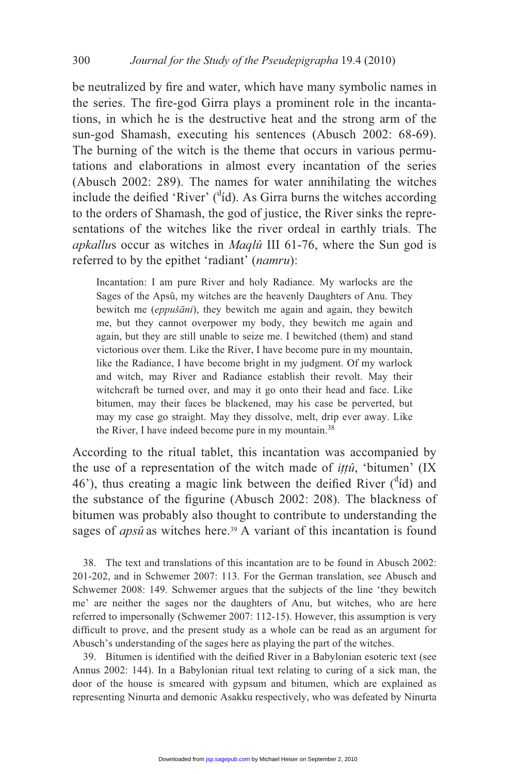be neutralized by fire and water, which have many symbolic names in the series. The fire-god Girra plays a prominent role in the incantations, in which he is the destructive heat and the strong arm of the sun-god Shamash, executing his sentences (Abusch 2002: 68-69). The burning of the witch is the theme that occurs in various permutations and elaborations in almost every incantation of the series (Abusch 2002: 289). The names for water annihilating the witches include the deified 'River' ( $\text{d}$ id). As Girra burns the witches according to the orders of Shamash, the god of justice, the River sinks the representations of the witches like the river ordeal in earthly trials. The *apkallu*s occur as witches in *Maqlû* III 61-76, where the Sun god is referred to by the epithet 'radiant' (*namru*):

Incantation: I am pure River and holy Radiance. My warlocks are the Sages of the Apsû, my witches are the heavenly Daughters of Anu. They bewitch me (*eppušāni*), they bewitch me again and again, they bewitch me, but they cannot overpower my body, they bewitch me again and again, but they are still unable to seize me. I bewitched (them) and stand victorious over them. Like the River, I have become pure in my mountain, like the Radiance, I have become bright in my judgment. Of my warlock and witch, may River and Radiance establish their revolt. May their witchcraft be turned over, and may it go onto their head and face. Like bitumen, may their faces be blackened, may his case be perverted, but may my case go straight. May they dissolve, melt, drip ever away. Like the River, I have indeed become pure in my mountain.<sup>38</sup>

According to the ritual tablet, this incantation was accompanied by the use of a representation of the witch made of *ittû*, 'bitumen' (IX 46'), thus creating a magic link between the deified River  $(^{d}id)$  and the substance of the figurine (Abusch 2002: 208). The blackness of bitumen was probably also thought to contribute to understanding the sages of *apsû* as witches here.<sup>39</sup> A variant of this incantation is found

 38. The text and translations of this incantation are to be found in Abusch 2002: 201-202, and in Schwemer 2007: 113. For the German translation, see Abusch and Schwemer 2008: 149. Schwemer argues that the subjects of the line 'they bewitch me' are neither the sages nor the daughters of Anu, but witches, who are here referred to impersonally (Schwemer 2007: 112-15). However, this assumption is very difficult to prove, and the present study as a whole can be read as an argument for Abusch's understanding of the sages here as playing the part of the witches.

39. Bitumen is identified with the deified River in a Babylonian esoteric text (see Annus 2002: 144). In a Babylonian ritual text relating to curing of a sick man, the door of the house is smeared with gypsum and bitumen, which are explained as representing Ninurta and demonic Asakku respectively, who was defeated by Ninurta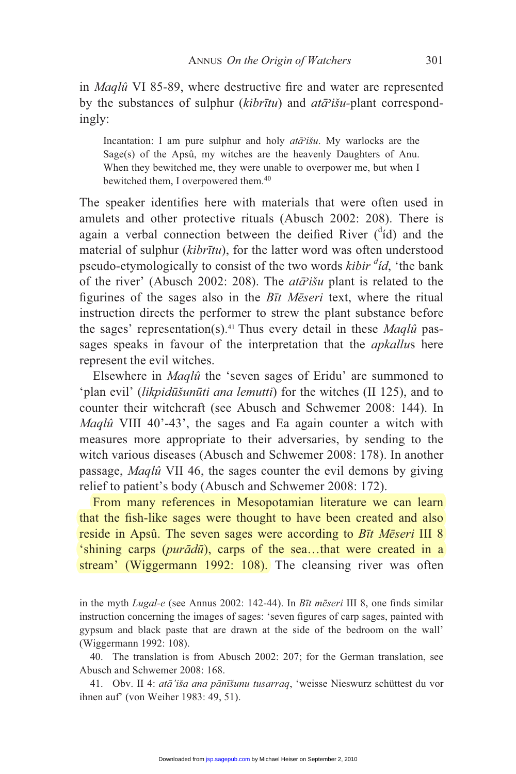in *Maqlû* VI 85-89, where destructive fire and water are represented by the substances of sulphur (*kibrītu*) and  $at\bar{a}$ <sup>2</sup>išu-plant correspondingly:

Incantation: I am pure sulphur and holy *ata<sup>3</sup>išu*. My warlocks are the Sage(s) of the Apsû, my witches are the heavenly Daughters of Anu. When they bewitched me, they were unable to overpower me, but when I bewitched them, I overpowered them.<sup>40</sup>

The speaker identifies here with materials that were often used in amulets and other protective rituals (Abusch 2002: 208). There is again a verbal connection between the deified River  $(^{d}id)$  and the material of sulphur (*kibrtu*), for the latter word was often understood pseudo-etymologically to consist of the two words *kibir* <sup>*did*</sup>, 'the bank of the river' (Abusch 2002: 208). The *ata*<sup>2</sup>išu</sup> plant is related to the figurines of the sages also in the *Btt Meseri* text, where the ritual instruction directs the performer to strew the plant substance before the sages' representation(s).41 Thus every detail in these *Maqlû* passages speaks in favour of the interpretation that the *apkallu*s here represent the evil witches.

 Elsewhere in *Maqlû* the 'seven sages of Eridu' are summoned to 'plan evil' *(likpidūšunūti ana lemutti)* for the witches *(II 125)*, and to counter their witchcraft (see Abusch and Schwemer 2008: 144). In *Maqlû* VIII 40'-43', the sages and Ea again counter a witch with measures more appropriate to their adversaries, by sending to the witch various diseases (Abusch and Schwemer 2008: 178). In another passage, *Maqlû* VII 46, the sages counter the evil demons by giving relief to patient's body (Abusch and Schwemer 2008: 172).

 From many references in Mesopotamian literature we can learn that the fish-like sages were thought to have been created and also reside in Apsû. The seven sages were according to *B*t *Meseri* III 8 'shining carps (*purādū*), carps of the sea...that were created in a stream' (Wiggermann 1992: 108). The cleansing river was often

in the myth *Lugal-e* (see Annus 2002: 142-44). In *Bīt mēseri* III 8, one finds similar instruction concerning the images of sages: 'seven figures of carp sages, painted with gypsum and black paste that are drawn at the side of the bedroom on the wall' (Wiggermann 1992: 108).

 40. The translation is from Abusch 2002: 207; for the German translation, see Abusch and Schwemer 2008: 168.

41. Obv. II 4: *atā'iša ana pānīšunu tusarraq*, 'weisse Nieswurz schüttest du vor ihnen auf' (von Weiher 1983: 49, 51).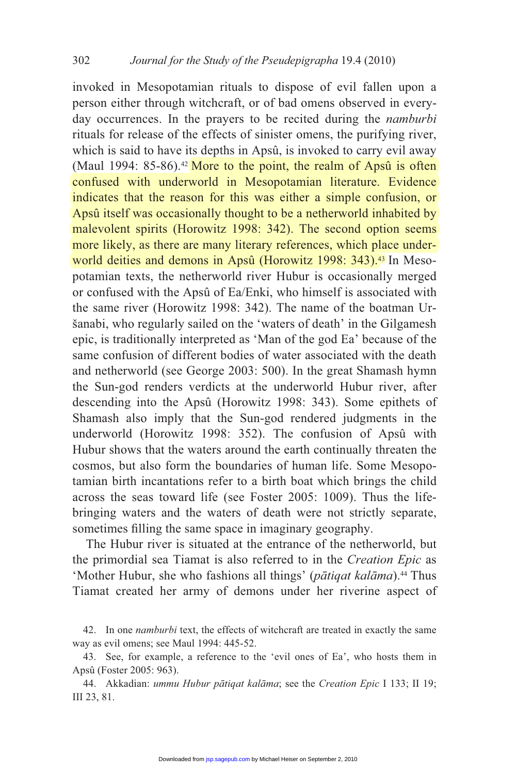invoked in Mesopotamian rituals to dispose of evil fallen upon a person either through witchcraft, or of bad omens observed in everyday occurrences. In the prayers to be recited during the *namburbi* rituals for release of the effects of sinister omens, the purifying river, which is said to have its depths in Apsû, is invoked to carry evil away (Maul 1994:  $85-86$ ).<sup>42</sup> More to the point, the realm of Apsû is often confused with underworld in Mesopotamian literature. Evidence indicates that the reason for this was either a simple confusion, or Apsû itself was occasionally thought to be a netherworld inhabited by malevolent spirits (Horowitz 1998: 342). The second option seems more likely, as there are many literary references, which place underworld deities and demons in Apsû (Horowitz 1998: 343).<sup>43</sup> In Mesopotamian texts, the netherworld river Hubur is occasionally merged or confused with the Apsû of Ea/Enki, who himself is associated with the same river (Horowitz 1998: 342). The name of the boatman Uršanabi, who regularly sailed on the 'waters of death' in the Gilgamesh epic, is traditionally interpreted as 'Man of the god Ea' because of the same confusion of different bodies of water associated with the death and netherworld (see George 2003: 500). In the great Shamash hymn the Sun-god renders verdicts at the underworld Hubur river, after descending into the Apsû (Horowitz 1998: 343). Some epithets of Shamash also imply that the Sun-god rendered judgments in the underworld (Horowitz 1998: 352). The confusion of Apsû with Hubur shows that the waters around the earth continually threaten the cosmos, but also form the boundaries of human life. Some Mesopotamian birth incantations refer to a birth boat which brings the child across the seas toward life (see Foster 2005: 1009). Thus the lifebringing waters and the waters of death were not strictly separate, sometimes filling the same space in imaginary geography.

 The Hubur river is situated at the entrance of the netherworld, but the primordial sea Tiamat is also referred to in the *Creation Epic* as 'Mother Hubur, she who fashions all things' (pātiqat kalāma).<sup>44</sup> Thus Tiamat created her army of demons under her riverine aspect of

 <sup>42.</sup> In one *namburbi* text, the effects of witchcraft are treated in exactly the same way as evil omens; see Maul 1994: 445-52.

 <sup>43.</sup> See, for example, a reference to the 'evil ones of Ea', who hosts them in Apsû (Foster 2005: 963).

<sup>44.</sup> Akkadian: *ummu Hubur pātiqat kalāma*; see the *Creation Epic* I 133; II 19; III 23, 81.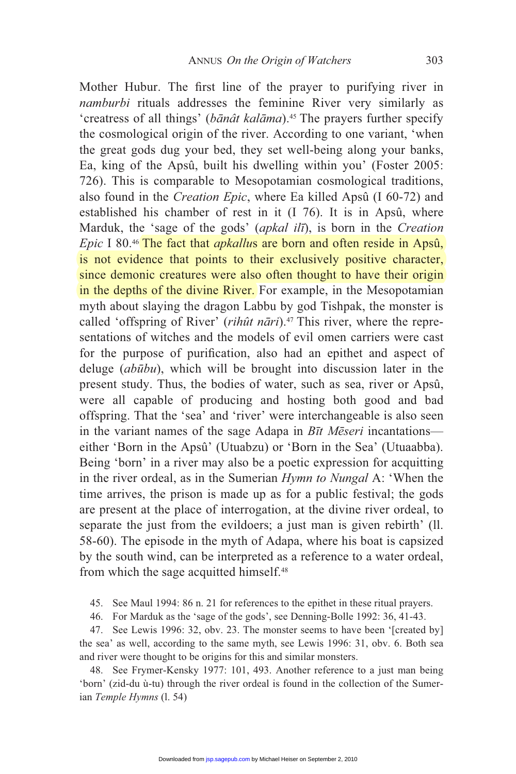Mother Hubur. The first line of the prayer to purifying river in *namburbi* rituals addresses the feminine River very similarly as 'creatress of all things' (banât kalama).<sup>45</sup> The prayers further specify the cosmological origin of the river. According to one variant, 'when the great gods dug your bed, they set well-being along your banks, Ea, king of the Apsû, built his dwelling within you' (Foster 2005: 726). This is comparable to Mesopotamian cosmological traditions, also found in the *Creation Epic*, where Ea killed Apsû (I 60-72) and established his chamber of rest in it (I 76). It is in Apsû, where Marduk, the 'sage of the gods' (*apkal ili*), is born in the *Creation Epic* I 80.<sup>46</sup> The fact that *apkallus* are born and often reside in Apsû, is not evidence that points to their exclusively positive character, since demonic creatures were also often thought to have their origin in the depths of the divine River. For example, in the Mesopotamian myth about slaying the dragon Labbu by god Tishpak, the monster is called 'offspring of River' (*rihût nāri*).<sup>47</sup> This river, where the representations of witches and the models of evil omen carriers were cast for the purpose of purification, also had an epithet and aspect of deluge *(abūbu)*, which will be brought into discussion later in the present study. Thus, the bodies of water, such as sea, river or Apsû, were all capable of producing and hosting both good and bad offspring. That the 'sea' and 'river' were interchangeable is also seen in the variant names of the sage Adapa in  $B\bar{t}t$  *Meseri* incantations either 'Born in the Apsû' (Utuabzu) or 'Born in the Sea' (Utuaabba). Being 'born' in a river may also be a poetic expression for acquitting in the river ordeal, as in the Sumerian *Hymn to Nungal* A: 'When the time arrives, the prison is made up as for a public festival; the gods are present at the place of interrogation, at the divine river ordeal, to separate the just from the evildoers; a just man is given rebirth' (ll. 58-60). The episode in the myth of Adapa, where his boat is capsized by the south wind, can be interpreted as a reference to a water ordeal, from which the sage acquitted himself.<sup>48</sup>

45. See Maul 1994: 86 n. 21 for references to the epithet in these ritual prayers.

46. For Marduk as the 'sage of the gods', see Denning-Bolle 1992: 36, 41-43.

 47. See Lewis 1996: 32, obv. 23. The monster seems to have been '[created by] the sea' as well, according to the same myth, see Lewis 1996: 31, obv. 6. Both sea and river were thought to be origins for this and similar monsters.

 48. See Frymer-Kensky 1977: 101, 493. Another reference to a just man being 'born' (zid-du ù-tu) through the river ordeal is found in the collection of the Sumerian *Temple Hymns* (l. 54)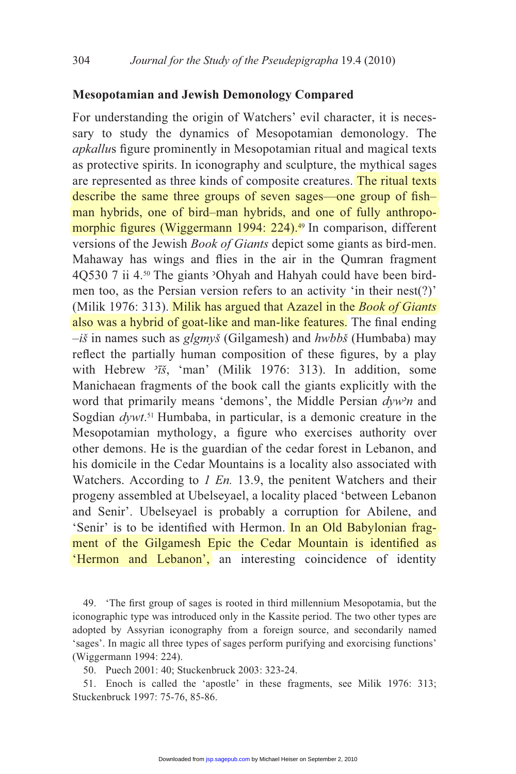## **Mesopotamian and Jewish Demonology Compared**

For understanding the origin of Watchers' evil character, it is necessary to study the dynamics of Mesopotamian demonology. The apkallus figure prominently in Mesopotamian ritual and magical texts as protective spirits. In iconography and sculpture, the mythical sages are represented as three kinds of composite creatures. The ritual texts describe the same three groups of seven sages—one group of fishman hybrids, one of bird–man hybrids, and one of fully anthropomorphic figures (Wiggermann 1994: 224).<sup>49</sup> In comparison, different versions of the Jewish *Book of Giants* depict some giants as bird-men. Mahaway has wings and flies in the air in the Qumran fragment 4Q530 7 ii 4.50 The giants 'Ohyah and Hahyah could have been birdmen too, as the Persian version refers to an activity 'in their nest(?)' (Milik 1976: 313). Milik has argued that Azazel in the *Book of Giants* also was a hybrid of goat-like and man-like features. The final ending *–iš* in names such as *glgmyš* (Gilgamesh) and *hwbbš* (Humbaba) may reflect the partially human composition of these figures, by a play with Hebrew  $\frac{3\pi}{2}$ , 'man' (Milik 1976: 313). In addition, some Manichaean fragments of the book call the giants explicitly with the word that primarily means 'demons', the Middle Persian *dywn* and Sogdian *dywt*. 51 Humbaba, in particular, is a demonic creature in the Mesopotamian mythology, a figure who exercises authority over other demons. He is the guardian of the cedar forest in Lebanon, and his domicile in the Cedar Mountains is a locality also associated with Watchers. According to *1 En.* 13.9, the penitent Watchers and their progeny assembled at Ubelseyael, a locality placed 'between Lebanon and Senir'. Ubelseyael is probably a corruption for Abilene, and 'Senir' is to be identified with Hermon. In an Old Babylonian fragment of the Gilgamesh Epic the Cedar Mountain is identified as 'Hermon and Lebanon', an interesting coincidence of identity

49. 'The first group of sages is rooted in third millennium Mesopotamia, but the iconographic type was introduced only in the Kassite period. The two other types are adopted by Assyrian iconography from a foreign source, and secondarily named 'sages'. In magic all three types of sages perform purifying and exorcising functions' (Wiggermann 1994: 224).

50. Puech 2001: 40; Stuckenbruck 2003: 323-24.

 51. Enoch is called the 'apostle' in these fragments, see Milik 1976: 313; Stuckenbruck 1997: 75-76, 85-86.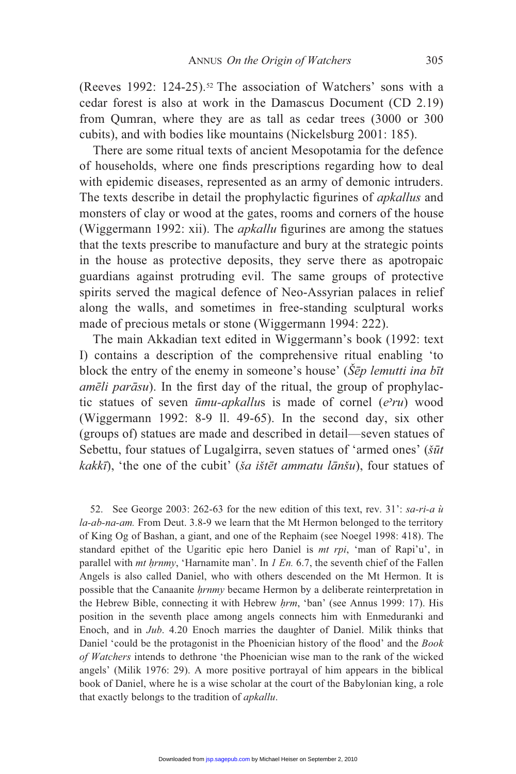(Reeves 1992: 124-25).52 The association of Watchers' sons with a cedar forest is also at work in the Damascus Document (CD 2.19) from Qumran, where they are as tall as cedar trees (3000 or 300 cubits), and with bodies like mountains (Nickelsburg 2001: 185).

 There are some ritual texts of ancient Mesopotamia for the defence of households, where one finds prescriptions regarding how to deal with epidemic diseases, represented as an army of demonic intruders. The texts describe in detail the prophylactic figurines of *apkallus* and monsters of clay or wood at the gates, rooms and corners of the house (Wiggermann 1992: xii). The *apkallu* figurines are among the statues that the texts prescribe to manufacture and bury at the strategic points in the house as protective deposits, they serve there as apotropaic guardians against protruding evil. The same groups of protective spirits served the magical defence of Neo-Assyrian palaces in relief along the walls, and sometimes in free-standing sculptural works made of precious metals or stone (Wiggermann 1994: 222).

 The main Akkadian text edited in Wiggermann's book (1992: text I) contains a description of the comprehensive ritual enabling 'to block the entry of the enemy in someone's house' (*Šēp lemutti ina bīt amēli parāsu*). In the first day of the ritual, the group of prophylactic statues of seven  $\bar{u}mu-apkallus$  is made of cornel (*e* $\bar{v}u$ ) wood (Wiggermann 1992: 8-9 ll. 49-65). In the second day, six other (groups of) statues are made and described in detail—seven statues of Sebettu, four statues of Lugalgirra, seven statues of 'armed ones' ( $\tilde{s}u$ t kakkī), 'the one of the cubit' (ša ištēt ammatu lānšu), four statues of

 52. See George 2003: 262-63 for the new edition of this text, rev. 31': *sa-ri-a ù la-ab-na-am.* From Deut. 3.8-9 we learn that the Mt Hermon belonged to the territory of King Og of Bashan, a giant, and one of the Rephaim (see Noegel 1998: 418). The standard epithet of the Ugaritic epic hero Daniel is *mt rpi*, 'man of Rapi'u', in parallel with *mt hrnmy*, 'Harnamite man'. In *1 En.* 6.7, the seventh chief of the Fallen Angels is also called Daniel, who with others descended on the Mt Hermon. It is possible that the Canaanite *hrnmy* became Hermon by a deliberate reinterpretation in the Hebrew Bible, connecting it with Hebrew *hrm*, 'ban' (see Annus 1999: 17). His position in the seventh place among angels connects him with Enmeduranki and Enoch, and in *Jub*. 4.20 Enoch marries the daughter of Daniel. Milik thinks that Daniel 'could be the protagonist in the Phoenician history of the flood' and the *Book of Watchers* intends to dethrone 'the Phoenician wise man to the rank of the wicked angels' (Milik 1976: 29). A more positive portrayal of him appears in the biblical book of Daniel, where he is a wise scholar at the court of the Babylonian king, a role that exactly belongs to the tradition of *apkallu*.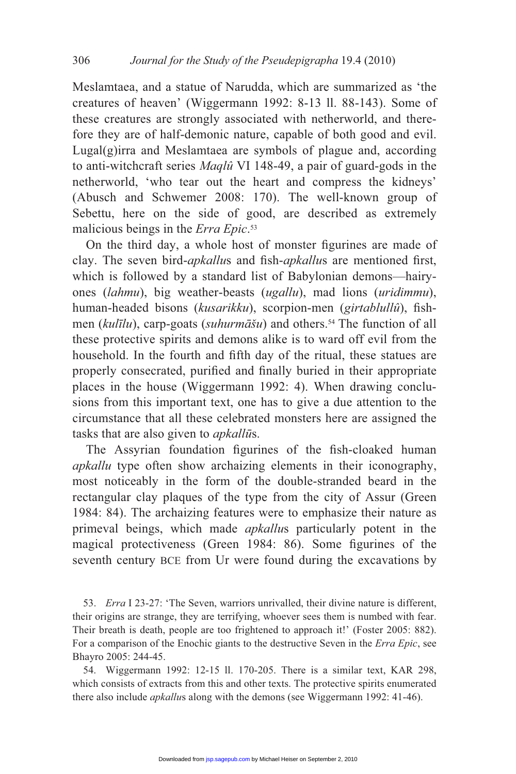Meslamtaea, and a statue of Narudda, which are summarized as 'the creatures of heaven' (Wiggermann 1992: 8-13 ll. 88-143). Some of these creatures are strongly associated with netherworld, and therefore they are of half-demonic nature, capable of both good and evil. Lugal(g)irra and Meslamtaea are symbols of plague and, according to anti-witchcraft series *Maqlû* VI 148-49, a pair of guard-gods in the netherworld, 'who tear out the heart and compress the kidneys' (Abusch and Schwemer 2008: 170). The well-known group of Sebettu, here on the side of good, are described as extremely malicious beings in the *Erra Epic*. 53

On the third day, a whole host of monster figurines are made of clay. The seven bird-*apkallus* and fish-*apkallus* are mentioned first, which is followed by a standard list of Babylonian demons—hairyones (*lahmu*), big weather-beasts (*ugallu*), mad lions (*uridimmu*), human-headed bisons (kusarikku), scorpion-men (girtablullû), fishmen (*kulīlu*), carp-goats (*suhurmāšu*) and others.<sup>54</sup> The function of all these protective spirits and demons alike is to ward off evil from the household. In the fourth and fifth day of the ritual, these statues are properly consecrated, purified and finally buried in their appropriate places in the house (Wiggermann 1992: 4). When drawing conclusions from this important text, one has to give a due attention to the circumstance that all these celebrated monsters here are assigned the tasks that are also given to *apkall*s.

The Assyrian foundation figurines of the fish-cloaked human *apkallu* type often show archaizing elements in their iconography, most noticeably in the form of the double-stranded beard in the rectangular clay plaques of the type from the city of Assur (Green 1984: 84). The archaizing features were to emphasize their nature as primeval beings, which made *apkallu*s particularly potent in the magical protectiveness (Green 1984: 86). Some figurines of the seventh century BCE from Ur were found during the excavations by

 53. *Erra* I 23-27: 'The Seven, warriors unrivalled, their divine nature is different, their origins are strange, they are terrifying, whoever sees them is numbed with fear. Their breath is death, people are too frightened to approach it!' (Foster 2005: 882). For a comparison of the Enochic giants to the destructive Seven in the *Erra Epic*, see Bhayro 2005: 244-45.

 54. Wiggermann 1992: 12-15 ll. 170-205. There is a similar text, KAR 298, which consists of extracts from this and other texts. The protective spirits enumerated there also include *apkallu*s along with the demons (see Wiggermann 1992: 41-46).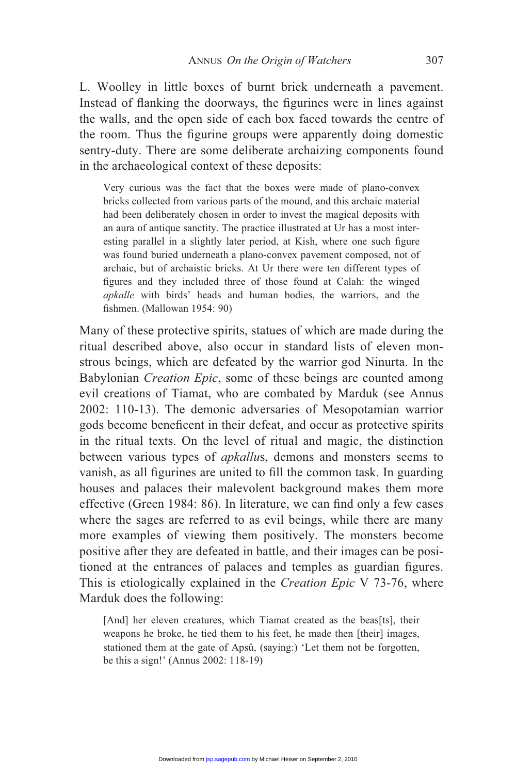L. Woolley in little boxes of burnt brick underneath a pavement. Instead of flanking the doorways, the figurines were in lines against the walls, and the open side of each box faced towards the centre of the room. Thus the figurine groups were apparently doing domestic sentry-duty. There are some deliberate archaizing components found in the archaeological context of these deposits:

Very curious was the fact that the boxes were made of plano-convex bricks collected from various parts of the mound, and this archaic material had been deliberately chosen in order to invest the magical deposits with an aura of antique sanctity. The practice illustrated at Ur has a most interesting parallel in a slightly later period, at Kish, where one such figure was found buried underneath a plano-convex pavement composed, not of archaic, but of archaistic bricks. At Ur there were ten different types of figures and they included three of those found at Calah: the winged *apkalle* with birds' heads and human bodies, the warriors, and the fishmen. (Mallowan 1954: 90)

Many of these protective spirits, statues of which are made during the ritual described above, also occur in standard lists of eleven monstrous beings, which are defeated by the warrior god Ninurta. In the Babylonian *Creation Epic*, some of these beings are counted among evil creations of Tiamat, who are combated by Marduk (see Annus 2002: 110-13). The demonic adversaries of Mesopotamian warrior gods become beneficent in their defeat, and occur as protective spirits in the ritual texts. On the level of ritual and magic, the distinction between various types of *apkallu*s, demons and monsters seems to vanish, as all figurines are united to fill the common task. In guarding houses and palaces their malevolent background makes them more effective (Green 1984: 86). In literature, we can find only a few cases where the sages are referred to as evil beings, while there are many more examples of viewing them positively. The monsters become positive after they are defeated in battle, and their images can be positioned at the entrances of palaces and temples as guardian figures. This is etiologically explained in the *Creation Epic* V 73-76, where Marduk does the following:

[And] her eleven creatures, which Tiamat created as the beas[ts], their weapons he broke, he tied them to his feet, he made then [their] images, stationed them at the gate of Apsû, (saying:) 'Let them not be forgotten, be this a sign!' (Annus 2002: 118-19)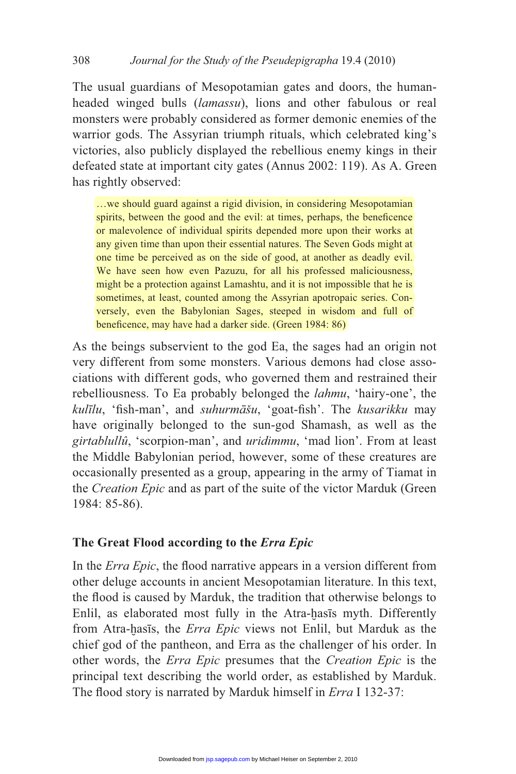The usual guardians of Mesopotamian gates and doors, the humanheaded winged bulls (*lamassu*), lions and other fabulous or real monsters were probably considered as former demonic enemies of the warrior gods. The Assyrian triumph rituals, which celebrated king's victories, also publicly displayed the rebellious enemy kings in their defeated state at important city gates (Annus 2002: 119). As A. Green has rightly observed:

…we should guard against a rigid division, in considering Mesopotamian spirits, between the good and the evil: at times, perhaps, the beneficence or malevolence of individual spirits depended more upon their works at any given time than upon their essential natures. The Seven Gods might at one time be perceived as on the side of good, at another as deadly evil. We have seen how even Pazuzu, for all his professed maliciousness, might be a protection against Lamashtu, and it is not impossible that he is sometimes, at least, counted among the Assyrian apotropaic series. Conversely, even the Babylonian Sages, steeped in wisdom and full of beneficence, may have had a darker side. (Green 1984: 86)

As the beings subservient to the god Ea, the sages had an origin not very different from some monsters. Various demons had close associations with different gods, who governed them and restrained their rebelliousness. To Ea probably belonged the *lahmu*, 'hairy-one', the kulīlu, 'fish-man', and *suhurmāšu*, 'goat-fish'. The *kusarikku* may have originally belonged to the sun-god Shamash, as well as the *girtablullû*, 'scorpion-man', and *uridimmu*, 'mad lion'. From at least the Middle Babylonian period, however, some of these creatures are occasionally presented as a group, appearing in the army of Tiamat in the *Creation Epic* and as part of the suite of the victor Marduk (Green 1984: 85-86).

## **The Great Flood according to the** *Erra Epic*

In the *Erra Epic*, the flood narrative appears in a version different from other deluge accounts in ancient Mesopotamian literature. In this text, the flood is caused by Marduk, the tradition that otherwise belongs to Enlil, as elaborated most fully in the Atra-hasis myth. Differently from Atra-hasis, the *Erra Epic* views not Enlil, but Marduk as the chief god of the pantheon, and Erra as the challenger of his order. In other words, the *Erra Epic* presumes that the *Creation Epic* is the principal text describing the world order, as established by Marduk. The flood story is narrated by Marduk himself in *Erra* I 132-37: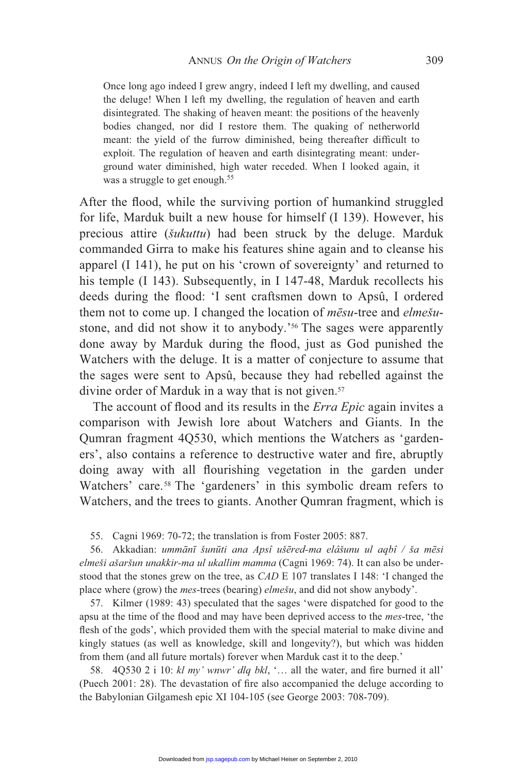Once long ago indeed I grew angry, indeed I left my dwelling, and caused the deluge! When I left my dwelling, the regulation of heaven and earth disintegrated. The shaking of heaven meant: the positions of the heavenly bodies changed, nor did I restore them. The quaking of netherworld meant: the yield of the furrow diminished, being thereafter difficult to exploit. The regulation of heaven and earth disintegrating meant: underground water diminished, high water receded. When I looked again, it was a struggle to get enough.<sup>55</sup>

After the flood, while the surviving portion of humankind struggled for life, Marduk built a new house for himself (I 139). However, his precious attire (*šukuttu*) had been struck by the deluge. Marduk commanded Girra to make his features shine again and to cleanse his apparel (I 141), he put on his 'crown of sovereignty' and returned to his temple (I 143). Subsequently, in I 147-48, Marduk recollects his deeds during the flood: 'I sent craftsmen down to Apsû, I ordered them not to come up. I changed the location of  $m\bar{e}su$ -tree and *elmešu*stone, and did not show it to anybody.'<sup>56</sup> The sages were apparently done away by Marduk during the flood, just as God punished the Watchers with the deluge. It is a matter of conjecture to assume that the sages were sent to Apsû, because they had rebelled against the divine order of Marduk in a way that is not given.<sup>57</sup>

The account of flood and its results in the *Erra Epic* again invites a comparison with Jewish lore about Watchers and Giants. In the Qumran fragment 4Q530, which mentions the Watchers as 'gardeners', also contains a reference to destructive water and fire, abruptly doing away with all flourishing vegetation in the garden under Watchers' care.<sup>58</sup> The 'gardeners' in this symbolic dream refers to Watchers, and the trees to giants. Another Qumran fragment, which is

55. Cagni 1969: 70-72; the translation is from Foster 2005: 887.

56. Akkadian: ummānī šunūti ana Apsî ušēred-ma elâšunu ul aqbî / ša mēsi *elmeši ašaršun unakkir-ma ul ukallim mamma* (Cagni 1969: 74). It can also be understood that the stones grew on the tree, as *CAD* E 107 translates I 148: 'I changed the place where (grow) the *mes*-trees (bearing) *elmešu*, and did not show anybody'.

 57. Kilmer (1989: 43) speculated that the sages 'were dispatched for good to the apsu at the time of the flood and may have been deprived access to the *mes*-tree, 'the flesh of the gods', which provided them with the special material to make divine and kingly statues (as well as knowledge, skill and longevity?), but which was hidden from them (and all future mortals) forever when Marduk cast it to the deep.'

58.  $4Q530$  2 i 10:  $kl$  my' wnwr' dlq bkl, '... all the water, and fire burned it all' (Puech 2001: 28). The devastation of fire also accompanied the deluge according to the Babylonian Gilgamesh epic XI 104-105 (see George 2003: 708-709).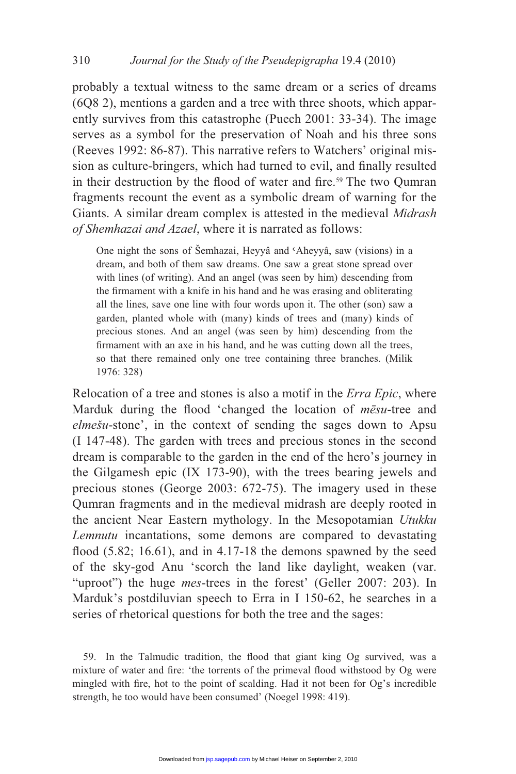probably a textual witness to the same dream or a series of dreams (6Q8 2), mentions a garden and a tree with three shoots, which apparently survives from this catastrophe (Puech 2001: 33-34). The image serves as a symbol for the preservation of Noah and his three sons (Reeves 1992: 86-87). This narrative refers to Watchers' original mission as culture-bringers, which had turned to evil, and finally resulted in their destruction by the flood of water and fire.<sup>59</sup> The two Qumran fragments recount the event as a symbolic dream of warning for the Giants. A similar dream complex is attested in the medieval *Midrash of Shemhazai and Azael*, where it is narrated as follows:

One night the sons of Šemhazai, Heyyâ and 'Aheyyâ, saw (visions) in a dream, and both of them saw dreams. One saw a great stone spread over with lines (of writing). And an angel (was seen by him) descending from the firmament with a knife in his hand and he was erasing and obliterating all the lines, save one line with four words upon it. The other (son) saw a garden, planted whole with (many) kinds of trees and (many) kinds of precious stones. And an angel (was seen by him) descending from the firmament with an axe in his hand, and he was cutting down all the trees, so that there remained only one tree containing three branches. (Milik 1976: 328)

Relocation of a tree and stones is also a motif in the *Erra Epic*, where Marduk during the flood 'changed the location of *mesu*-tree and *elmešu*-stone', in the context of sending the sages down to Apsu (I 147-48). The garden with trees and precious stones in the second dream is comparable to the garden in the end of the hero's journey in the Gilgamesh epic (IX 173-90), with the trees bearing jewels and precious stones (George 2003: 672-75). The imagery used in these Qumran fragments and in the medieval midrash are deeply rooted in the ancient Near Eastern mythology. In the Mesopotamian *Utukku Lemnutu* incantations, some demons are compared to devastating flood  $(5.82; 16.61)$ , and in 4.17-18 the demons spawned by the seed of the sky-god Anu 'scorch the land like daylight, weaken (var. "uproot") the huge *mes*-trees in the forest' (Geller 2007: 203). In Marduk's postdiluvian speech to Erra in I 150-62, he searches in a series of rhetorical questions for both the tree and the sages:

59. In the Talmudic tradition, the flood that giant king Og survived, was a mixture of water and fire: 'the torrents of the primeval flood withstood by Og were mingled with fire, hot to the point of scalding. Had it not been for Og's incredible strength, he too would have been consumed' (Noegel 1998: 419).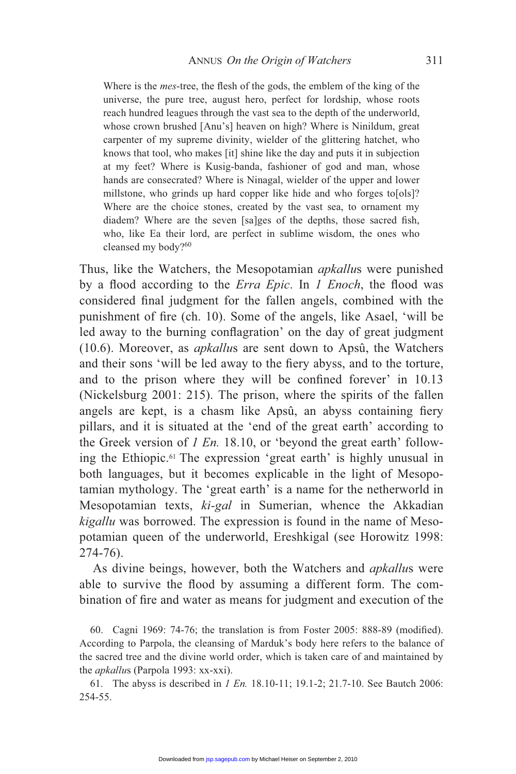Where is the *mes*-tree, the flesh of the gods, the emblem of the king of the universe, the pure tree, august hero, perfect for lordship, whose roots reach hundred leagues through the vast sea to the depth of the underworld, whose crown brushed [Anu's] heaven on high? Where is Ninildum, great carpenter of my supreme divinity, wielder of the glittering hatchet, who knows that tool, who makes [it] shine like the day and puts it in subjection at my feet? Where is Kusig-banda, fashioner of god and man, whose hands are consecrated? Where is Ninagal, wielder of the upper and lower millstone, who grinds up hard copper like hide and who forges to[ols]? Where are the choice stones, created by the vast sea, to ornament my diadem? Where are the seven [sa]ges of the depths, those sacred fish, who, like Ea their lord, are perfect in sublime wisdom, the ones who cleansed my body?<sup>60</sup>

Thus, like the Watchers, the Mesopotamian *apkallu*s were punished by a flood according to the *Erra Epic*. In *1 Enoch*, the flood was considered final judgment for the fallen angels, combined with the punishment of fire (ch. 10). Some of the angels, like Asael, 'will be led away to the burning conflagration' on the day of great judgment (10.6). Moreover, as *apkallu*s are sent down to Apsû, the Watchers and their sons 'will be led away to the fiery abyss, and to the torture, and to the prison where they will be confined forever' in 10.13 (Nickelsburg 2001: 215). The prison, where the spirits of the fallen angels are kept, is a chasm like Apsû, an abyss containing fiery pillars, and it is situated at the 'end of the great earth' according to the Greek version of *1 En.* 18.10, or 'beyond the great earth' following the Ethiopic.61 The expression 'great earth' is highly unusual in both languages, but it becomes explicable in the light of Mesopotamian mythology. The 'great earth' is a name for the netherworld in Mesopotamian texts, *ki-gal* in Sumerian, whence the Akkadian *kigallu* was borrowed. The expression is found in the name of Mesopotamian queen of the underworld, Ereshkigal (see Horowitz 1998: 274-76).

 As divine beings, however, both the Watchers and *apkallu*s were able to survive the flood by assuming a different form. The combination of fire and water as means for judgment and execution of the

60. Cagni 1969: 74-76; the translation is from Foster 2005: 888-89 (modified). According to Parpola, the cleansing of Marduk's body here refers to the balance of the sacred tree and the divine world order, which is taken care of and maintained by the *apkallu*s (Parpola 1993: xx-xxi).

 61. The abyss is described in *1 En.* 18.10-11; 19.1-2; 21.7-10. See Bautch 2006: 254-55.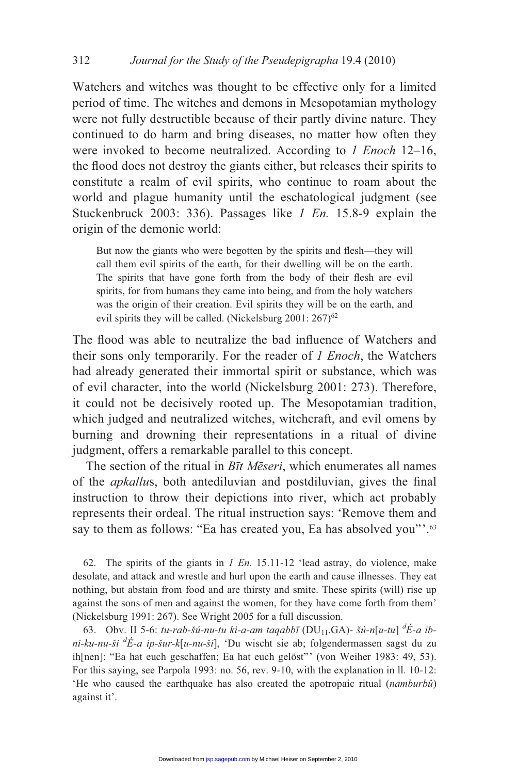Watchers and witches was thought to be effective only for a limited period of time. The witches and demons in Mesopotamian mythology were not fully destructible because of their partly divine nature. They continued to do harm and bring diseases, no matter how often they were invoked to become neutralized. According to *1 Enoch* 12–16, the flood does not destroy the giants either, but releases their spirits to constitute a realm of evil spirits, who continue to roam about the world and plague humanity until the eschatological judgment (see Stuckenbruck 2003: 336). Passages like *1 En.* 15.8-9 explain the origin of the demonic world:

But now the giants who were begotten by the spirits and flesh—they will call them evil spirits of the earth, for their dwelling will be on the earth. The spirits that have gone forth from the body of their flesh are evil spirits, for from humans they came into being, and from the holy watchers was the origin of their creation. Evil spirits they will be on the earth, and evil spirits they will be called. (Nickelsburg  $2001: 267$ )<sup>62</sup>

The flood was able to neutralize the bad influence of Watchers and their sons only temporarily. For the reader of *1 Enoch*, the Watchers had already generated their immortal spirit or substance, which was of evil character, into the world (Nickelsburg 2001: 273). Therefore, it could not be decisively rooted up. The Mesopotamian tradition, which judged and neutralized witches, witchcraft, and evil omens by burning and drowning their representations in a ritual of divine judgment, offers a remarkable parallel to this concept.

The section of the ritual in *Btt Meseri*, which enumerates all names of the *apkallus*, both antediluvian and postdiluvian, gives the final instruction to throw their depictions into river, which act probably represents their ordeal. The ritual instruction says: 'Remove them and say to them as follows: "Ea has created you, Ea has absolved you"'.<sup>63</sup>

 62. The spirits of the giants in *1 En.* 15.11-12 'lead astray, do violence, make desolate, and attack and wrestle and hurl upon the earth and cause illnesses. They eat nothing, but abstain from food and are thirsty and smite. These spirits (will) rise up against the sons of men and against the women, for they have come forth from them' (Nickelsburg 1991: 267). See Wright 2005 for a full discussion.

63. Obv. II 5-6: *tu-rab-šú-nu-tu ki-a-am taqabbī* (DU<sub>11</sub>.GA)- *šú-n*[*u-tu*]  ${}^d\acute{E}$ -*a ibni-ku-nu-ši <sup>d</sup> É-a ip-šur-k*[*u-nu-ši*], 'Du wischt sie ab; folgendermassen sagst du zu ih[nen]: "Ea hat euch geschaffen; Ea hat euch gelöst"' (von Weiher 1983: 49, 53). For this saying, see Parpola 1993: no. 56, rev. 9-10, with the explanation in ll. 10-12: 'He who caused the earthquake has also created the apotropaic ritual (*namburbû*) against it'.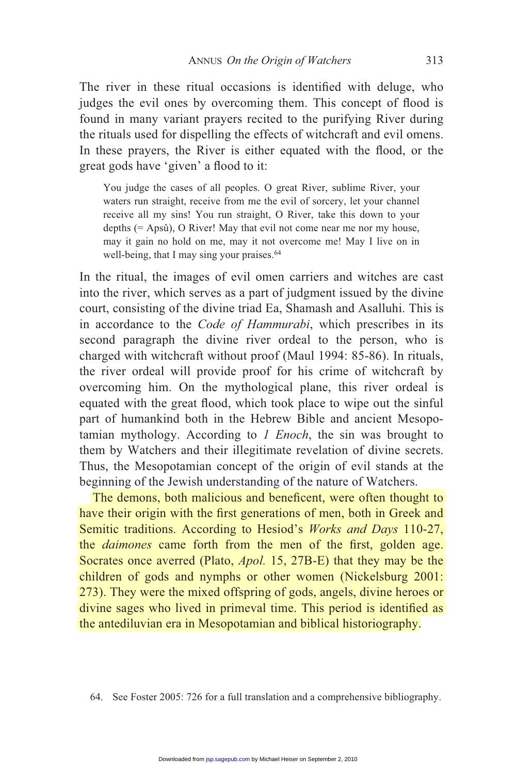The river in these ritual occasions is identified with deluge, who judges the evil ones by overcoming them. This concept of flood is found in many variant prayers recited to the purifying River during the rituals used for dispelling the effects of witchcraft and evil omens. In these prayers, the River is either equated with the flood, or the great gods have 'given' a flood to it:

You judge the cases of all peoples. O great River, sublime River, your waters run straight, receive from me the evil of sorcery, let your channel receive all my sins! You run straight, O River, take this down to your depths (= Apsû), O River! May that evil not come near me nor my house, may it gain no hold on me, may it not overcome me! May I live on in well-being, that I may sing your praises. $64$ 

In the ritual, the images of evil omen carriers and witches are cast into the river, which serves as a part of judgment issued by the divine court, consisting of the divine triad Ea, Shamash and Asalluhi. This is in accordance to the *Code of Hammurabi*, which prescribes in its second paragraph the divine river ordeal to the person, who is charged with witchcraft without proof (Maul 1994: 85-86). In rituals, the river ordeal will provide proof for his crime of witchcraft by overcoming him. On the mythological plane, this river ordeal is equated with the great flood, which took place to wipe out the sinful part of humankind both in the Hebrew Bible and ancient Mesopotamian mythology. According to *1 Enoch*, the sin was brought to them by Watchers and their illegitimate revelation of divine secrets. Thus, the Mesopotamian concept of the origin of evil stands at the beginning of the Jewish understanding of the nature of Watchers.

The demons, both malicious and beneficent, were often thought to have their origin with the first generations of men, both in Greek and Semitic traditions. According to Hesiod's *Works and Days* 110-27, the *daimones* came forth from the men of the first, golden age. Socrates once averred (Plato, *Apol.* 15, 27B-E) that they may be the children of gods and nymphs or other women (Nickelsburg 2001: 273). They were the mixed offspring of gods, angels, divine heroes or divine sages who lived in primeval time. This period is identified as the antediluvian era in Mesopotamian and biblical historiography.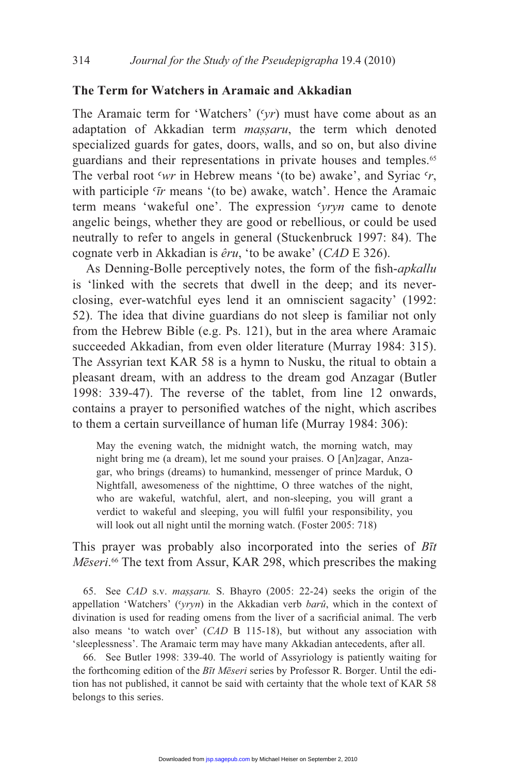## **The Term for Watchers in Aramaic and Akkadian**

The Aramaic term for 'Watchers' ('yr) must have come about as an adaptation of Akkadian term *massaru*, the term which denoted specialized guards for gates, doors, walls, and so on, but also divine guardians and their representations in private houses and temples.<sup>65</sup> The verbal root 'wr in Hebrew means '(to be) awake', and Syriac 'r, with participle ' $\bar{r}$  means '(to be) awake, watch'. Hence the Aramaic term means 'wakeful one'. The expression 'yryn came to denote angelic beings, whether they are good or rebellious, or could be used neutrally to refer to angels in general (Stuckenbruck 1997: 84). The cognate verb in Akkadian is *êru*, 'to be awake' (*CAD* E 326).

As Denning-Bolle perceptively notes, the form of the fish-*apkallu* is 'linked with the secrets that dwell in the deep; and its neverclosing, ever-watchful eyes lend it an omniscient sagacity' (1992: 52). The idea that divine guardians do not sleep is familiar not only from the Hebrew Bible (e.g. Ps. 121), but in the area where Aramaic succeeded Akkadian, from even older literature (Murray 1984: 315). The Assyrian text KAR 58 is a hymn to Nusku, the ritual to obtain a pleasant dream, with an address to the dream god Anzagar (Butler 1998: 339-47). The reverse of the tablet, from line 12 onwards, contains a prayer to personified watches of the night, which ascribes to them a certain surveillance of human life (Murray 1984: 306):

May the evening watch, the midnight watch, the morning watch, may night bring me (a dream), let me sound your praises. O [An]zagar, Anzagar, who brings (dreams) to humankind, messenger of prince Marduk, O Nightfall, awesomeness of the nighttime, O three watches of the night, who are wakeful, watchful, alert, and non-sleeping, you will grant a verdict to wakeful and sleeping, you will fulfil your responsibility, you will look out all night until the morning watch. (Foster 2005: 718)

This prayer was probably also incorporated into the series of *B*<sup>t</sup> Meseri.<sup>66</sup> The text from Assur, KAR 298, which prescribes the making

 65. See *CAD* s.v. *massaru.* S. Bhayro (2005: 22-24) seeks the origin of the appellation 'Watchers' ('yryn) in the Akkadian verb *barû*, which in the context of divination is used for reading omens from the liver of a sacrificial animal. The verb also means 'to watch over' (*CAD* B 115-18), but without any association with 'sleeplessness'. The Aramaic term may have many Akkadian antecedents, after all.

 66. See Butler 1998: 339-40. The world of Assyriology is patiently waiting for the forthcoming edition of the *Bīt Mēseri* series by Professor R. Borger. Until the edition has not published, it cannot be said with certainty that the whole text of KAR 58 belongs to this series.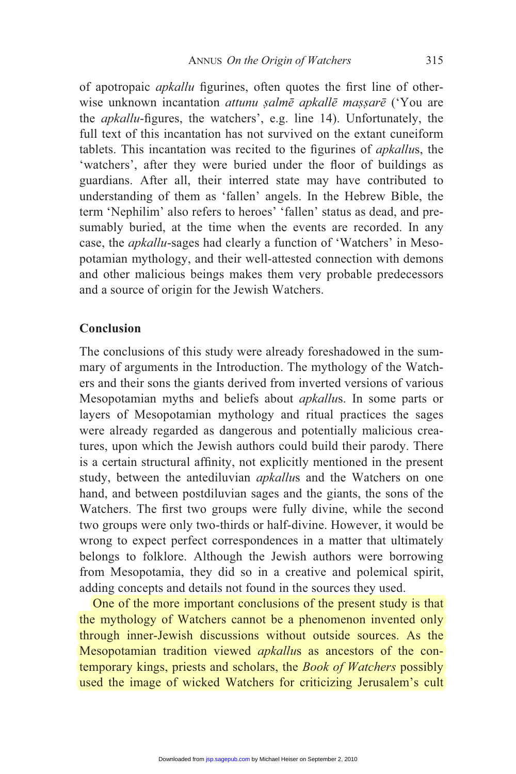of apotropaic *apkallu* figurines, often quotes the first line of otherwise unknown incantation *attunu salmē apkallē massarē* ('You are the *apkallu*-figures, the watchers', e.g. line 14). Unfortunately, the full text of this incantation has not survived on the extant cuneiform tablets. This incantation was recited to the figurines of *apkallus*, the 'watchers', after they were buried under the floor of buildings as guardians. After all, their interred state may have contributed to understanding of them as 'fallen' angels. In the Hebrew Bible, the term 'Nephilim' also refers to heroes' 'fallen' status as dead, and presumably buried, at the time when the events are recorded. In any case, the *apkallu*-sages had clearly a function of 'Watchers' in Mesopotamian mythology, and their well-attested connection with demons and other malicious beings makes them very probable predecessors and a source of origin for the Jewish Watchers.

## **Conclusion**

The conclusions of this study were already foreshadowed in the summary of arguments in the Introduction. The mythology of the Watchers and their sons the giants derived from inverted versions of various Mesopotamian myths and beliefs about *apkallu*s. In some parts or layers of Mesopotamian mythology and ritual practices the sages were already regarded as dangerous and potentially malicious creatures, upon which the Jewish authors could build their parody. There is a certain structural affinity, not explicitly mentioned in the present study, between the antediluvian *apkallu*s and the Watchers on one hand, and between postdiluvian sages and the giants, the sons of the Watchers. The first two groups were fully divine, while the second two groups were only two-thirds or half-divine. However, it would be wrong to expect perfect correspondences in a matter that ultimately belongs to folklore. Although the Jewish authors were borrowing from Mesopotamia, they did so in a creative and polemical spirit, adding concepts and details not found in the sources they used.

 One of the more important conclusions of the present study is that the mythology of Watchers cannot be a phenomenon invented only through inner-Jewish discussions without outside sources. As the Mesopotamian tradition viewed *apkallu*s as ancestors of the contemporary kings, priests and scholars, the *Book of Watchers* possibly used the image of wicked Watchers for criticizing Jerusalem's cult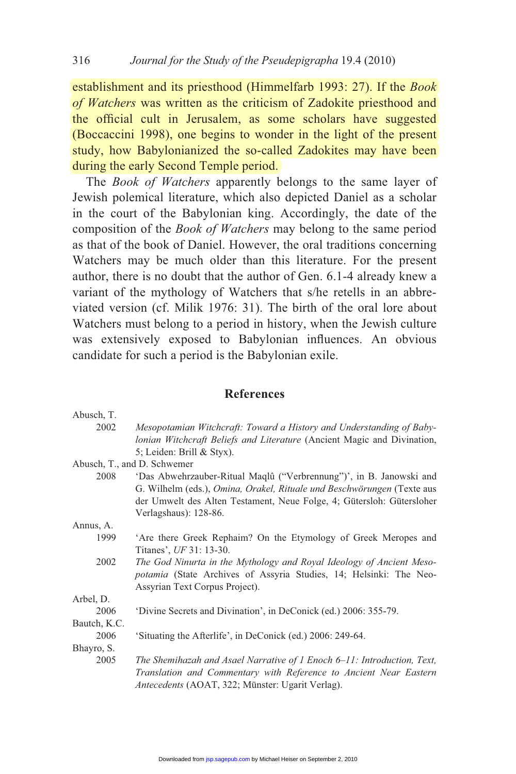establishment and its priesthood (Himmelfarb 1993: 27). If the *Book of Watchers* was written as the criticism of Zadokite priesthood and the official cult in Jerusalem, as some scholars have suggested (Boccaccini 1998), one begins to wonder in the light of the present study, how Babylonianized the so-called Zadokites may have been during the early Second Temple period.

 The *Book of Watchers* apparently belongs to the same layer of Jewish polemical literature, which also depicted Daniel as a scholar in the court of the Babylonian king. Accordingly, the date of the composition of the *Book of Watchers* may belong to the same period as that of the book of Daniel. However, the oral traditions concerning Watchers may be much older than this literature. For the present author, there is no doubt that the author of Gen. 6.1-4 already knew a variant of the mythology of Watchers that s/he retells in an abbreviated version (cf. Milik 1976: 31). The birth of the oral lore about Watchers must belong to a period in history, when the Jewish culture was extensively exposed to Babylonian influences. An obvious candidate for such a period is the Babylonian exile.

#### **References**

| Abusch, T.   |                                                                           |
|--------------|---------------------------------------------------------------------------|
| 2002         | Mesopotamian Witchcraft: Toward a History and Understanding of Baby-      |
|              | lonian Witchcraft Beliefs and Literature (Ancient Magic and Divination,   |
|              | 5; Leiden: Brill & Styx).                                                 |
|              | Abusch, T., and D. Schwemer                                               |
| 2008         | 'Das Abwehrzauber-Ritual Maqlû ("Verbrennung")', in B. Janowski and       |
|              | G. Wilhelm (eds.), Omina, Orakel, Rituale und Beschwörungen (Texte aus    |
|              | der Umwelt des Alten Testament, Neue Folge, 4; Gütersloh: Gütersloher     |
|              | Verlagshaus): 128-86.                                                     |
| Annus, A.    |                                                                           |
| 1999         | Are there Greek Rephaim? On the Etymology of Greek Meropes and            |
|              | Titanes', UF 31: 13-30.                                                   |
| 2002         | The God Ninurta in the Mythology and Royal Ideology of Ancient Meso-      |
|              | <i>potamia</i> (State Archives of Assyria Studies, 14; Helsinki: The Neo- |
|              | Assyrian Text Corpus Project).                                            |
| Arbel, D.    |                                                                           |
| 2006         | 'Divine Secrets and Divination', in DeConick (ed.) 2006: 355-79.          |
| Bautch, K.C. |                                                                           |
| 2006         | 'Situating the Afterlife', in DeConick (ed.) 2006: 249-64.                |
| Bhayro, S.   |                                                                           |
| 2005         | The Shemihazah and Asael Narrative of 1 Enoch 6–11: Introduction, Text,   |
|              | Translation and Commentary with Reference to Ancient Near Eastern         |
|              | Antecedents (AOAT, 322; Münster: Ugarit Verlag).                          |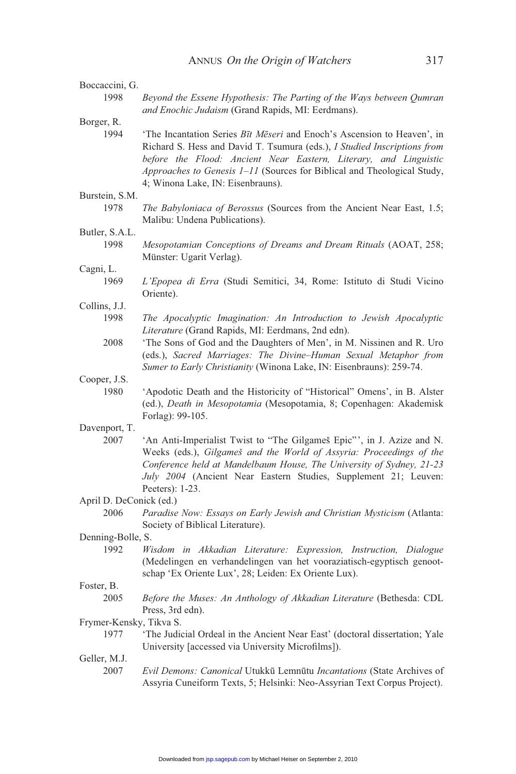| Boccaccini, G.          |                                                                                                                                                                                                                                                                                                                                         |
|-------------------------|-----------------------------------------------------------------------------------------------------------------------------------------------------------------------------------------------------------------------------------------------------------------------------------------------------------------------------------------|
| 1998                    | Beyond the Essene Hypothesis: The Parting of the Ways between Qumran<br>and Enochic Judaism (Grand Rapids, MI: Eerdmans).                                                                                                                                                                                                               |
| Borger, R.              |                                                                                                                                                                                                                                                                                                                                         |
| 1994                    | 'The Incantation Series Bit Meseri and Enoch's Ascension to Heaven', in<br>Richard S. Hess and David T. Tsumura (eds.), I Studied Inscriptions from<br>before the Flood: Ancient Near Eastern, Literary, and Linguistic<br>Approaches to Genesis 1-11 (Sources for Biblical and Theological Study,<br>4; Winona Lake, IN: Eisenbrauns). |
| Burstein, S.M.          |                                                                                                                                                                                                                                                                                                                                         |
| 1978                    | The Babyloniaca of Berossus (Sources from the Ancient Near East, 1.5;<br>Malibu: Undena Publications).                                                                                                                                                                                                                                  |
| Butler, S.A.L.          |                                                                                                                                                                                                                                                                                                                                         |
| 1998                    | Mesopotamian Conceptions of Dreams and Dream Rituals (AOAT, 258;<br>Münster: Ugarit Verlag).                                                                                                                                                                                                                                            |
| Cagni, L.               |                                                                                                                                                                                                                                                                                                                                         |
| 1969                    | L'Epopea di Erra (Studi Semitici, 34, Rome: Istituto di Studi Vicino<br>Oriente).                                                                                                                                                                                                                                                       |
| Collins, J.J.           |                                                                                                                                                                                                                                                                                                                                         |
| 1998                    | The Apocalyptic Imagination: An Introduction to Jewish Apocalyptic<br>Literature (Grand Rapids, MI: Eerdmans, 2nd edn).                                                                                                                                                                                                                 |
| 2008                    | 'The Sons of God and the Daughters of Men', in M. Nissinen and R. Uro<br>(eds.), Sacred Marriages: The Divine-Human Sexual Metaphor from<br>Sumer to Early Christianity (Winona Lake, IN: Eisenbrauns): 259-74.                                                                                                                         |
| Cooper, J.S.            |                                                                                                                                                                                                                                                                                                                                         |
| 1980                    | 'Apodotic Death and the Historicity of "Historical" Omens', in B. Alster<br>(ed.), Death in Mesopotamia (Mesopotamia, 8; Copenhagen: Akademisk<br>Forlag): 99-105.                                                                                                                                                                      |
| Davenport, T.           |                                                                                                                                                                                                                                                                                                                                         |
| 2007                    | 'An Anti-Imperialist Twist to "The Gilgameš Epic"', in J. Azize and N.<br>Weeks (eds.), Gilgameš and the World of Assyria: Proceedings of the<br>Conference held at Mandelbaum House, The University of Sydney, 21-23<br>July 2004 (Ancient Near Eastern Studies, Supplement 21; Leuven:<br>Peeters): 1-23.                             |
| April D. DeConick (ed.) |                                                                                                                                                                                                                                                                                                                                         |
| 2006                    | Paradise Now: Essays on Early Jewish and Christian Mysticism (Atlanta:<br>Society of Biblical Literature).                                                                                                                                                                                                                              |
| Denning-Bolle, S.       |                                                                                                                                                                                                                                                                                                                                         |
| 1992                    | Wisdom in Akkadian Literature: Expression, Instruction, Dialogue<br>(Medelingen en verhandelingen van het vooraziatisch-egyptisch genoot-<br>schap 'Ex Oriente Lux', 28; Leiden: Ex Oriente Lux).                                                                                                                                       |
| Foster, B.              |                                                                                                                                                                                                                                                                                                                                         |
| 2005                    | Before the Muses: An Anthology of Akkadian Literature (Bethesda: CDL<br>Press, 3rd edn).                                                                                                                                                                                                                                                |
| Frymer-Kensky, Tikva S. |                                                                                                                                                                                                                                                                                                                                         |
| 1977                    | 'The Judicial Ordeal in the Ancient Near East' (doctoral dissertation; Yale<br>University [accessed via University Microfilms]).                                                                                                                                                                                                        |
| Geller, M.J.            |                                                                                                                                                                                                                                                                                                                                         |
| 2007                    | Evil Demons: Canonical Utukkū Lemnūtu Incantations (State Archives of<br>Assyria Cuneiform Texts, 5; Helsinki: Neo-Assyrian Text Corpus Project).                                                                                                                                                                                       |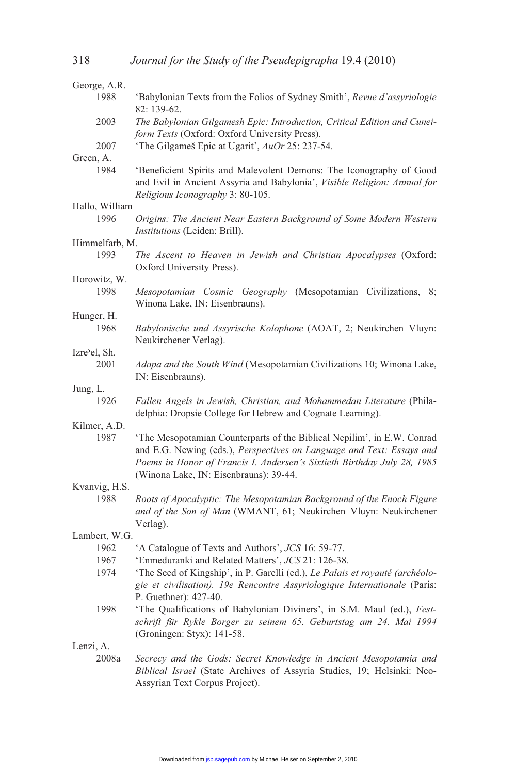| George, A.R.      |                                                                                                                                                                                                                                                                       |
|-------------------|-----------------------------------------------------------------------------------------------------------------------------------------------------------------------------------------------------------------------------------------------------------------------|
| 1988              | 'Babylonian Texts from the Folios of Sydney Smith', Revue d'assyriologie<br>82: 139-62.                                                                                                                                                                               |
| 2003              | The Babylonian Gilgamesh Epic: Introduction, Critical Edition and Cunei-<br>form Texts (Oxford: Oxford University Press).                                                                                                                                             |
| 2007              | 'The Gilgameš Epic at Ugarit', AuOr 25: 237-54.                                                                                                                                                                                                                       |
| Green, A.<br>1984 | 'Beneficient Spirits and Malevolent Demons: The Iconography of Good<br>and Evil in Ancient Assyria and Babylonia', Visible Religion: Annual for<br>Religious Iconography 3: 80-105.                                                                                   |
| Hallo, William    |                                                                                                                                                                                                                                                                       |
| 1996              | Origins: The Ancient Near Eastern Background of Some Modern Western<br>Institutions (Leiden: Brill).                                                                                                                                                                  |
| Himmelfarb, M.    |                                                                                                                                                                                                                                                                       |
| 1993              | The Ascent to Heaven in Jewish and Christian Apocalypses (Oxford:<br>Oxford University Press).                                                                                                                                                                        |
| Horowitz, W.      |                                                                                                                                                                                                                                                                       |
| 1998              | Mesopotamian Cosmic Geography (Mesopotamian Civilizations,<br>8;<br>Winona Lake, IN: Eisenbrauns).                                                                                                                                                                    |
| Hunger, H.        |                                                                                                                                                                                                                                                                       |
| 1968              | Babylonische und Assyrische Kolophone (AOAT, 2; Neukirchen-Vluyn:<br>Neukirchener Verlag).                                                                                                                                                                            |
| Izre'el, Sh.      |                                                                                                                                                                                                                                                                       |
| 2001              | Adapa and the South Wind (Mesopotamian Civilizations 10; Winona Lake,<br>IN: Eisenbrauns).                                                                                                                                                                            |
| Jung, L.          |                                                                                                                                                                                                                                                                       |
| 1926              | Fallen Angels in Jewish, Christian, and Mohammedan Literature (Phila-<br>delphia: Dropsie College for Hebrew and Cognate Learning).                                                                                                                                   |
| Kilmer, A.D.      |                                                                                                                                                                                                                                                                       |
| 1987              | 'The Mesopotamian Counterparts of the Biblical Nepilim', in E.W. Conrad<br>and E.G. Newing (eds.), Perspectives on Language and Text: Essays and<br>Poems in Honor of Francis I. Andersen's Sixtieth Birthday July 28, 1985<br>(Winona Lake, IN: Eisenbrauns): 39-44. |
| Kvanvig, H.S.     |                                                                                                                                                                                                                                                                       |
| 1988              | Roots of Apocalyptic: The Mesopotamian Background of the Enoch Figure<br>and of the Son of Man (WMANT, 61; Neukirchen-Vluyn: Neukirchener<br>Verlag).                                                                                                                 |
| Lambert, W.G.     |                                                                                                                                                                                                                                                                       |
| 1962              | 'A Catalogue of Texts and Authors', JCS 16: 59-77.                                                                                                                                                                                                                    |
| 1967              | 'Enmeduranki and Related Matters', JCS 21: 126-38.                                                                                                                                                                                                                    |
| 1974              | 'The Seed of Kingship', in P. Garelli (ed.), Le Palais et royauté (archéolo-                                                                                                                                                                                          |
|                   | gie et civilisation). 19e Rencontre Assyriologique Internationale (Paris:<br>P. Guethner): 427-40.                                                                                                                                                                    |
| 1998              | 'The Qualifications of Babylonian Diviners', in S.M. Maul (ed.), Fest-<br>schrift für Rykle Borger zu seinem 65. Geburtstag am 24. Mai 1994<br>(Groningen: Styx): 141-58.                                                                                             |
| Lenzi, A.         |                                                                                                                                                                                                                                                                       |
| 2008a             | Secrecy and the Gods: Secret Knowledge in Ancient Mesopotamia and<br>Biblical Israel (State Archives of Assyria Studies, 19; Helsinki: Neo-<br>Assyrian Text Corpus Project).                                                                                         |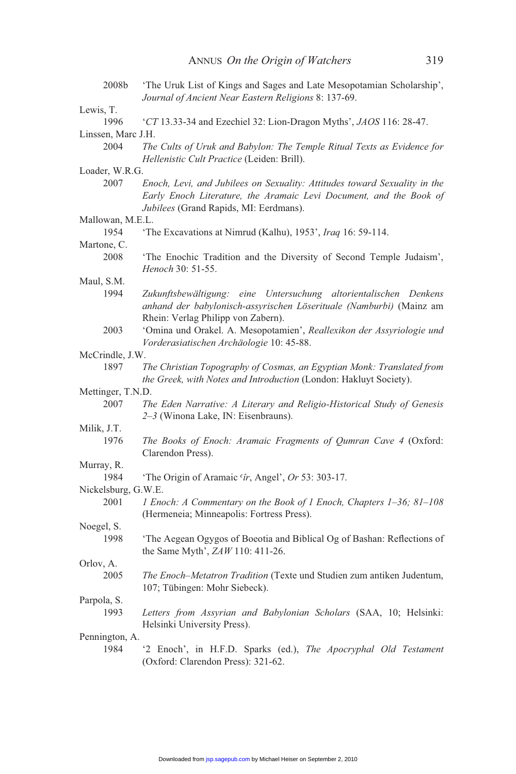| 2008b               | 'The Uruk List of Kings and Sages and Late Mesopotamian Scholarship',<br>Journal of Ancient Near Eastern Religions 8: 137-69.                                                             |
|---------------------|-------------------------------------------------------------------------------------------------------------------------------------------------------------------------------------------|
| Lewis, T.           |                                                                                                                                                                                           |
| 1996                | 'CT 13.33-34 and Ezechiel 32: Lion-Dragon Myths', JAOS 116: 28-47.                                                                                                                        |
| Linssen, Marc J.H.  |                                                                                                                                                                                           |
| 2004                | The Cults of Uruk and Babylon: The Temple Ritual Texts as Evidence for<br>Hellenistic Cult Practice (Leiden: Brill).                                                                      |
| Loader, W.R.G.      |                                                                                                                                                                                           |
| 2007                | Enoch, Levi, and Jubilees on Sexuality: Attitudes toward Sexuality in the<br>Early Enoch Literature, the Aramaic Levi Document, and the Book of<br>Jubilees (Grand Rapids, MI: Eerdmans). |
| Mallowan, M.E.L.    |                                                                                                                                                                                           |
| 1954                | The Excavations at Nimrud (Kalhu), 1953', <i>Iraq</i> 16: 59-114.                                                                                                                         |
| Martone, C.         |                                                                                                                                                                                           |
| 2008                | 'The Enochic Tradition and the Diversity of Second Temple Judaism',<br>Henoch 30: 51-55.                                                                                                  |
| Maul, S.M.          |                                                                                                                                                                                           |
| 1994                | Zukunftsbewältigung: eine Untersuchung altorientalischen Denkens<br>anhand der babylonisch-assyrischen Löserituale (Namburbi) (Mainz am<br>Rhein: Verlag Philipp von Zabern).             |
| 2003                | 'Omina und Orakel. A. Mesopotamien', Reallexikon der Assyriologie und<br>Vorderasiatischen Archäologie 10: 45-88.                                                                         |
| McCrindle, J.W.     |                                                                                                                                                                                           |
| 1897                | The Christian Topography of Cosmas, an Egyptian Monk: Translated from<br>the Greek, with Notes and Introduction (London: Hakluyt Society).                                                |
| Mettinger, T.N.D.   |                                                                                                                                                                                           |
| 2007                | The Eden Narrative: A Literary and Religio-Historical Study of Genesis<br>2-3 (Winona Lake, IN: Eisenbrauns).                                                                             |
| Milik, J.T.         |                                                                                                                                                                                           |
| 1976                | The Books of Enoch: Aramaic Fragments of Qumran Cave 4 (Oxford:<br>Clarendon Press).                                                                                                      |
| Murray, R.          |                                                                                                                                                                                           |
| 1984                | 'The Origin of Aramaic 'îr, Angel', Or 53: 303-17.                                                                                                                                        |
| Nickelsburg, G.W.E. |                                                                                                                                                                                           |
| 2001                | 1 Enoch: A Commentary on the Book of 1 Enoch, Chapters 1-36; 81-108<br>(Hermeneia; Minneapolis: Fortress Press).                                                                          |
| Noegel, S.          |                                                                                                                                                                                           |
| 1998                | 'The Aegean Ogygos of Boeotia and Biblical Og of Bashan: Reflections of<br>the Same Myth', ZAW 110: 411-26.                                                                               |
| Orlov, A.           |                                                                                                                                                                                           |
| 2005                | The Enoch-Metatron Tradition (Texte und Studien zum antiken Judentum,<br>107; Tübingen: Mohr Siebeck).                                                                                    |
| Parpola, S.         |                                                                                                                                                                                           |
| 1993                | Letters from Assyrian and Babylonian Scholars (SAA, 10; Helsinki:<br>Helsinki University Press).                                                                                          |
| Pennington, A.      |                                                                                                                                                                                           |
| 1984                | '2 Enoch', in H.F.D. Sparks (ed.), The Apocryphal Old Testament<br>(Oxford: Clarendon Press): 321-62.                                                                                     |